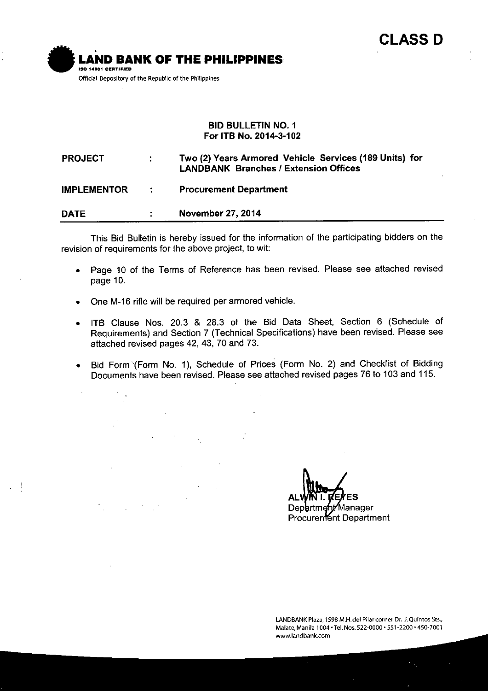

#### **BID BULLETIN NO.1 For ITB No. 2014-3-102**

#### **Two (2) Years Armored Vehicle Services (189 Units) for PROJECT**  $\mathbb{R}^2$ **LANDBANK Branches** *I* **Extension Offices IMPLEMENTOR Procurement Department**  $\ddot{\cdot}$ **DATE November 27,2014** ÷

This Bid Bulletin is hereby issued for the information of the participating bidders on the revision of requirements for the above project, to wit:

- Page 10 of the Terms of Reference has been revised. Please see attached revised page 10.
- One M-16 rifle will be required per armored vehicle.
- ITB Clause Nos. 20.3 & 28.3 of the Bid Data Sheet, Section 6 (Schedule of Requirements) and Section 7 (Technical Specifications) have been revised. Please see attached revised pages 42, 43, 70 and 73.
- Bid Form (Form NO.1), Schedule of Prices (Form No.2) and Checklist of Bidding Documents have been revised. Please see attached revised pages 76 to 103 and 115.

Department/Manager Procurement Department

**lANDBANK Plaza, 15gB M.H.del Pilar corner Dr. J.Quintos Sts., Malate, Manila 1004' Tel.Nos.522-0000' 551-2200' 450-7001 [www.landbank.com](http://www.landbank.com)**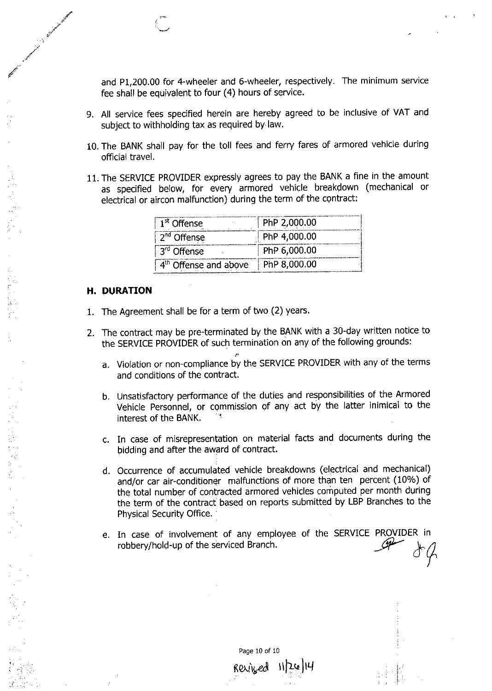and P1,200.00 for 4-wheeler and 6-wheeler, respectively. The minimum service fee shall be equivalent to four (4) hours of service.

- 9. All service fees specified herein are hereby agreed to be inclusive of VAT and subject to withholding tax as required by law.
- 10. The BANK shall pay for the toll fees and ferry fares of armored vehicle during official travel.
- 11. The SERVICE PROVIDER expressly agrees to pay the BANK a fine in the amount as specified below, for every armored vehicle breakdown (mechanical or electrical or aircon malfunction) during the term of the contract:

| 1 <sup>st</sup> Offense           | PhP 2,000.00 |
|-----------------------------------|--------------|
| 2 <sup>nd</sup> Offense           | PhP 4,000.00 |
| 3 <sup>rd</sup> Offense           | PhP 6,000.00 |
| 4 <sup>th</sup> Offense and above | PhP 8,000.00 |

#### **H.** DURATION

- 1. The Agreement shall be for a term of two (2) years.
- 2. The contract may be pre-terminated by the BANK with a 30-day written notice to the SERVICE PROVIDER of such termination on any of the following grounds:
	- *t'* a. Violation or non-compliance by the SERVICE PROVIDER with any of the terms and conditions of the contract.
	- b. Unsatisfactory performance of the duties and responsibilities of the Armored Vehicle Personnel, or commission of any act by the latter inimical to the interest of the BANK.
	- c. In case of misrepresentation on material facts and documents during the bidding and after the award of contract.
	- d. Occurrence of accumulated vehicle breakdowns (electrical and mechanical) and/or car air-conditioner malfunctions of more than ten percent (10%) of the total number of contracted armored vehicles computed per month during the term of the contract based on reports submitted by LBP Branches to the Physical Security Office.
	- e. In case of involvement of any employee of the SERVICE PROVIDER in robbery/hold-up of the serviced Branch. *fiV (r~*

Page 10 of 10

 $\kappa$ exized  $||2\omega||$ 14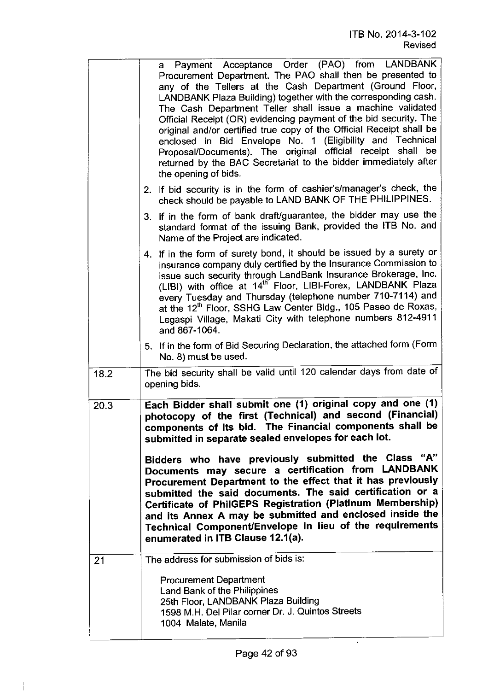|      | a Payment Acceptance Order (PAO) from LANDBANK<br>Procurement Department. The PAO shall then be presented to<br>any of the Tellers at the Cash Department (Ground Floor,<br>LANDBANK Plaza Building) together with the corresponding cash.<br>The Cash Department Teller shall issue a machine validated<br>Official Receipt (OR) evidencing payment of the bid security. The<br>original and/or certified true copy of the Official Receipt shall be<br>enclosed in Bid Envelope No. 1 (Eligibility and Technical<br>Proposal/Documents). The original official receipt shall be<br>returned by the BAC Secretariat to the bidder immediately after<br>the opening of bids.                                    |
|------|-----------------------------------------------------------------------------------------------------------------------------------------------------------------------------------------------------------------------------------------------------------------------------------------------------------------------------------------------------------------------------------------------------------------------------------------------------------------------------------------------------------------------------------------------------------------------------------------------------------------------------------------------------------------------------------------------------------------|
|      | 2. If bid security is in the form of cashier's/manager's check, the<br>check should be payable to LAND BANK OF THE PHILIPPINES.                                                                                                                                                                                                                                                                                                                                                                                                                                                                                                                                                                                 |
|      | 3. If in the form of bank draft/guarantee, the bidder may use the<br>standard format of the issuing Bank, provided the ITB No. and<br>Name of the Project are indicated.                                                                                                                                                                                                                                                                                                                                                                                                                                                                                                                                        |
|      | 4. If in the form of surety bond, it should be issued by a surety or<br>insurance company duly certified by the Insurance Commission to<br>issue such security through LandBank Insurance Brokerage, Inc.<br>(LIBI) with office at 14 <sup>th</sup> Floor, LIBI-Forex, LANDBANK Plaza<br>every Tuesday and Thursday (telephone number 710-7114) and<br>at the 12 <sup>th</sup> Floor, SSHG Law Center Bldg., 105 Paseo de Roxas,<br>Legaspi Village, Makati City with telephone numbers 812-4911<br>and 867-1064.                                                                                                                                                                                               |
|      | 5. If in the form of Bid Securing Declaration, the attached form (Form<br>No. 8) must be used.                                                                                                                                                                                                                                                                                                                                                                                                                                                                                                                                                                                                                  |
| 18.2 | The bid security shall be valid until 120 calendar days from date of<br>opening bids.                                                                                                                                                                                                                                                                                                                                                                                                                                                                                                                                                                                                                           |
| 20.3 | Each Bidder shall submit one (1) original copy and one (1)<br>photocopy of the first (Technical) and second (Financial)<br>components of its bid. The Financial components shall be<br>submitted in separate sealed envelopes for each lot.<br>Bidders who have previously submitted the Class "A"<br>Documents may secure a certification from LANDBANK<br>Procurement Department to the effect that it has previously<br>submitted the said documents. The said certification or a<br>Certificate of PhilGEPS Registration (Platinum Membership)<br>and its Annex A may be submitted and enclosed inside the<br>Technical Component/Envelope in lieu of the requirements<br>enumerated in ITB Clause 12.1(a). |
| 21   | The address for submission of bids is:<br><b>Procurement Department</b><br>Land Bank of the Philippines<br>25th Floor, LANDBANK Plaza Building<br>1598 M.H. Del Pilar corner Dr. J. Quintos Streets<br>1004 Malate, Manila                                                                                                                                                                                                                                                                                                                                                                                                                                                                                      |

 $\overline{1}$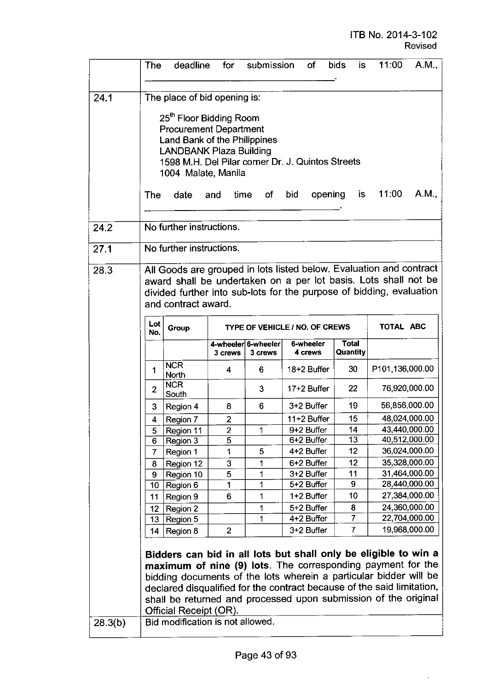$\ddot{\phi}$ 

|                              | The                                                                                                                                                                                                                                                                                                                                                                                                                                                          | deadline                         | for            | submission          | of                                                                                                                                                                                                                                                                                                                                               | <b>bids</b><br>is. | 11:00           | A.M.,                          |
|------------------------------|--------------------------------------------------------------------------------------------------------------------------------------------------------------------------------------------------------------------------------------------------------------------------------------------------------------------------------------------------------------------------------------------------------------------------------------------------------------|----------------------------------|----------------|---------------------|--------------------------------------------------------------------------------------------------------------------------------------------------------------------------------------------------------------------------------------------------------------------------------------------------------------------------------------------------|--------------------|-----------------|--------------------------------|
| 24.1<br>24.2<br>27.1<br>28.3 | The place of bid opening is:<br>25 <sup>th</sup> Floor Bidding Room<br><b>Procurement Department</b><br>Land Bank of the Philippines<br><b>LANDBANK Plaza Building</b><br>1598 M.H. Del Pilar corner Dr. J. Quintos Streets<br>1004 Malate, Manila<br>11:00<br>A.M.,<br>opening is<br>time<br>bid<br>The<br>date<br>and<br>of<br>No further instructions.<br>No further instructions.<br>All Goods are grouped in lots listed below. Evaluation and contract |                                  |                |                     |                                                                                                                                                                                                                                                                                                                                                  |                    |                 |                                |
|                              | award shall be undertaken on a per lot basis. Lots shall not be<br>divided further into sub-lots for the purpose of bidding, evaluation<br>and contract award.<br>Lot<br>TOTAL ABC<br>TYPE OF VEHICLE / NO. OF CREWS                                                                                                                                                                                                                                         |                                  |                |                     |                                                                                                                                                                                                                                                                                                                                                  |                    |                 |                                |
|                              | No.                                                                                                                                                                                                                                                                                                                                                                                                                                                          | Group                            |                | 4-wheeler 6-wheeler | 6-wheeler                                                                                                                                                                                                                                                                                                                                        | <b>Total</b>       |                 |                                |
|                              |                                                                                                                                                                                                                                                                                                                                                                                                                                                              |                                  | 3 crews        | 3 crews             | 4 crews                                                                                                                                                                                                                                                                                                                                          | Quantity           |                 |                                |
|                              | 1                                                                                                                                                                                                                                                                                                                                                                                                                                                            | <b>NCR</b><br>North              | 4              | 6                   | 18+2 Buffer                                                                                                                                                                                                                                                                                                                                      | 30                 | P101,136,000.00 |                                |
|                              | $\overline{2}$                                                                                                                                                                                                                                                                                                                                                                                                                                               | <b>NCR</b><br>South              |                | 3                   | 17+2 Buffer                                                                                                                                                                                                                                                                                                                                      | 22                 | 76,920,000.00   |                                |
|                              | 3                                                                                                                                                                                                                                                                                                                                                                                                                                                            | Region 4                         | 8              | 6                   | 3+2 Buffer                                                                                                                                                                                                                                                                                                                                       | 19                 | 56,856,000.00   |                                |
|                              | 4                                                                                                                                                                                                                                                                                                                                                                                                                                                            | Region 7                         | $\overline{2}$ |                     | 11+2 Buffer                                                                                                                                                                                                                                                                                                                                      | 15                 | 48,024,000.00   |                                |
|                              | 5                                                                                                                                                                                                                                                                                                                                                                                                                                                            | Region 11                        | 2              | 1                   | 9+2 Buffer                                                                                                                                                                                                                                                                                                                                       | 14                 | 43,440,000.00   |                                |
|                              | 6                                                                                                                                                                                                                                                                                                                                                                                                                                                            | Region 3                         | $\overline{5}$ |                     | 6+2 Buffer                                                                                                                                                                                                                                                                                                                                       | 13                 | 40,512,000.00   |                                |
|                              | 7                                                                                                                                                                                                                                                                                                                                                                                                                                                            | Region 1                         | 1              | 5                   | 4+2 Buffer                                                                                                                                                                                                                                                                                                                                       | 12                 |                 | 36,024,000.00                  |
|                              | 8                                                                                                                                                                                                                                                                                                                                                                                                                                                            | Region 12                        | 3              | 1                   | 6+2 Buffer                                                                                                                                                                                                                                                                                                                                       | 12                 |                 | 35,328,000.00                  |
|                              | 9                                                                                                                                                                                                                                                                                                                                                                                                                                                            | Region 10                        | 5              | 1                   | 3+2 Buffer                                                                                                                                                                                                                                                                                                                                       | 11<br>9            |                 | 31,464,000.00<br>28,440,000.00 |
|                              | 10                                                                                                                                                                                                                                                                                                                                                                                                                                                           | Region 6                         | 1              | 1                   | 5+2 Buffer<br>1+2 Buffer                                                                                                                                                                                                                                                                                                                         | 10                 |                 | 27,384,000.00                  |
|                              | 11                                                                                                                                                                                                                                                                                                                                                                                                                                                           | Region 9                         | 6              | 1                   | 5+2 Buffer                                                                                                                                                                                                                                                                                                                                       | 8                  |                 | 24,360,000.00                  |
|                              | 12<br>13                                                                                                                                                                                                                                                                                                                                                                                                                                                     | Region 2<br>Region 5             |                | 1<br>1              | 4+2 Buffer                                                                                                                                                                                                                                                                                                                                       | 7                  |                 | 22,704,000.00                  |
|                              | 14                                                                                                                                                                                                                                                                                                                                                                                                                                                           | Region 8                         | $\overline{2}$ |                     | 3+2 Buffer                                                                                                                                                                                                                                                                                                                                       | $\overline{7}$     |                 | 19,968,000.00                  |
|                              |                                                                                                                                                                                                                                                                                                                                                                                                                                                              | Official Receipt (OR).           |                |                     | Bidders can bid in all lots but shall only be eligible to win a<br>maximum of nine (9) lots. The corresponding payment for the<br>bidding documents of the lots wherein a particular bidder will be<br>declared disqualified for the contract because of the said limitation,<br>shall be returned and processed upon submission of the original |                    |                 |                                |
| 28.3(b)                      |                                                                                                                                                                                                                                                                                                                                                                                                                                                              | Bid modification is not allowed. |                |                     |                                                                                                                                                                                                                                                                                                                                                  |                    |                 |                                |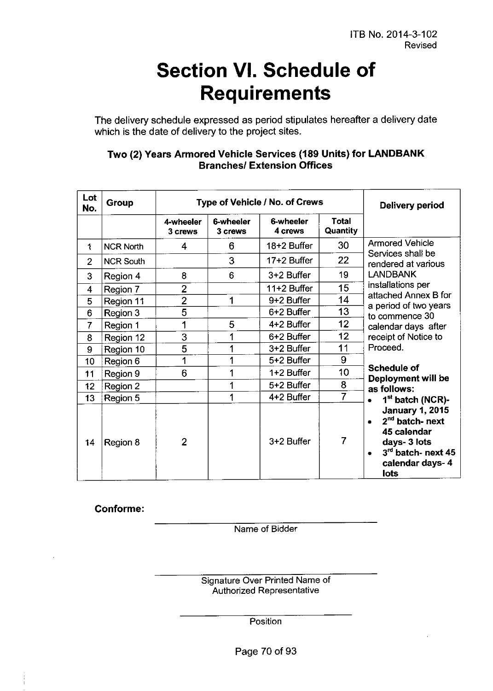# **Section VI. Schedule of Requirements**

The delivery schedule expressed as period stipulates hereafter a delivery date which is the date of delivery to the project sites.

| Lot<br>No.     | Group            |                      | Type of Vehicle / No. of Crews | Delivery period      |                          |                                                                                                                                                    |
|----------------|------------------|----------------------|--------------------------------|----------------------|--------------------------|----------------------------------------------------------------------------------------------------------------------------------------------------|
|                |                  | 4-wheeler<br>3 crews | 6-wheeler<br>3 crews           | 6-wheeler<br>4 crews | <b>Total</b><br>Quantity |                                                                                                                                                    |
| 1              | <b>NCR North</b> | 4                    | 6                              | 18+2 Buffer          | 30                       | <b>Armored Vehicle</b>                                                                                                                             |
| $\overline{2}$ | <b>NCR South</b> |                      | 3                              | 17+2 Buffer          | 22                       | Services shall be<br>rendered at various                                                                                                           |
| 3              | Region 4         | 8                    | 6                              | 3+2 Buffer           | 19                       | <b>LANDBANK</b>                                                                                                                                    |
| 4              | Region 7         | $\overline{2}$       |                                | 11+2 Buffer          | 15                       | installations per                                                                                                                                  |
| 5              | Region 11        | $\overline{2}$       | 1                              | 9+2 Buffer           | 14                       | attached Annex B for                                                                                                                               |
| 6              | Region 3         | $\overline{5}$       |                                | 6+2 Buffer           | 13                       | a period of two years<br>to commence 30                                                                                                            |
| $\overline{7}$ | Region 1         |                      | 5                              | 4+2 Buffer           | 12                       | calendar days after                                                                                                                                |
| 8              | Region 12        | 3                    | 1                              | 6+2 Buffer           | 12                       | receipt of Notice to                                                                                                                               |
| 9              | Region 10        | 5                    | 1                              | 3+2 Buffer           | 11                       | Proceed.                                                                                                                                           |
| 10             | Region 6         | 1                    | 1                              | 5+2 Buffer           | 9                        |                                                                                                                                                    |
| 11             | Region 9         | 6                    | 1                              | 1+2 Buffer           | 10                       | <b>Schedule of</b><br>Deployment will be                                                                                                           |
| 12             | Region 2         |                      | 1                              | 5+2 Buffer           | 8                        | as follows:                                                                                                                                        |
| 13             | Region 5         |                      | 1                              | 4+2 Buffer           | $\overline{7}$           | 1 <sup>st</sup> batch (NCR)-                                                                                                                       |
| 14             | Region 8         | $\overline{2}$       |                                | 3+2 Buffer           | $\overline{7}$           | <b>January 1, 2015</b><br>2 <sup>nd</sup> batch- next<br>$\bullet$<br>45 calendar<br>days- 3 lots<br>3rd batch- next 45<br>calendar days-4<br>lots |

#### Two (2) Years Armored Vehicle Services (189 Units) for **LANDBANK Branches/ Extension Offices**

Conforme:

Name of Bidder

Signature Over Printed Name of Authorized Representative

**Position** 

Page 70 of 93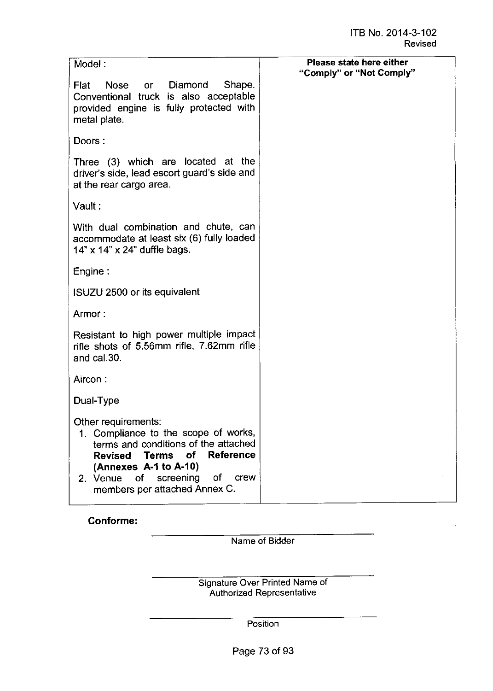| Model:                                                                                                                                                                                                                                                          | Please state here either |
|-----------------------------------------------------------------------------------------------------------------------------------------------------------------------------------------------------------------------------------------------------------------|--------------------------|
| Nose or Diamond<br>Shape.<br>Flat<br>Conventional truck is also acceptable<br>provided engine is fully protected with<br>metal plate.                                                                                                                           | "Comply" or "Not Comply" |
| Doors:                                                                                                                                                                                                                                                          |                          |
| Three (3) which are located at the<br>driver's side, lead escort guard's side and<br>at the rear cargo area.                                                                                                                                                    |                          |
| Vault :                                                                                                                                                                                                                                                         |                          |
| With dual combination and chute, can<br>accommodate at least six (6) fully loaded<br>14" x 14" x 24" duffle bags.                                                                                                                                               |                          |
| Engine:                                                                                                                                                                                                                                                         |                          |
| ISUZU 2500 or its equivalent                                                                                                                                                                                                                                    |                          |
| Armor:                                                                                                                                                                                                                                                          |                          |
| Resistant to high power multiple impact<br>rifle shots of 5.56mm rifle, 7.62mm rifle<br>and cal.30.                                                                                                                                                             |                          |
| Aircon:                                                                                                                                                                                                                                                         |                          |
| Dual-Type                                                                                                                                                                                                                                                       |                          |
| Other requirements:<br>1. Compliance to the scope of works,<br>terms and conditions of the attached<br><b>Reference</b><br>of<br><b>Revised</b><br>Terms<br>(Annexes A-1 to A-10)<br>оf<br>2. Venue<br>screening<br>crew<br>οf<br>members per attached Annex C. |                          |

Conforme:

Name of Bidder

Signature Over Printed Name of Authorized Representativ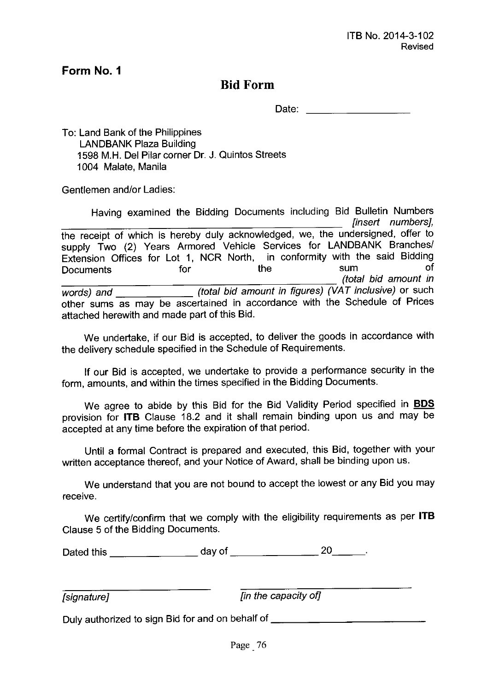### **Bid Form**

Date: **Example 2018** 

To: Land Bank of the Philippines LANDBANK Plaza Building 1598 M.H. Del Pilar corner Dr. J. Quintos Streets 1004 Malate, Manila

Gentlemen and/or Ladies:

Having examined the Bidding Documents including Bid Bulletin Numbers *[insert numbers},* the receipt of which is hereby duly acknowledged, we, the undersigned, offer to supply Two (2) Years Armored Vehicle Services for LANDBANK Branches/ Extension Offices for Lot 1, NCR North, in conformity with the said Bidding Documents for the sum of *\_\_\_\_\_\_\_\_\_\_\_\_\_\_\_\_\_\_\_\_\_\_\_ (total bid amount in words) and (total bid amount in figures) (VAT inclusive)* or such other sums as may be ascertained in accordance with the Schedule of Prices attached herewith and made part of this Bid.

We undertake, if our Bid is accepted, to deliver the goods in accordance with the delivery schedule specified in the Schedule of Requirements.

If our Bid is accepted, we undertake to provide a performance security in the form, amounts, and within the times specified in the Bidding Documents.

We agree to abide by this Bid for the Bid Validity Period specified in **BOS** provision for **ITB** Clause 18.2 and it shall remain binding upon us and may be accepted at any time before the expiration of that period.

Until a formal Contract is prepared and executed, this Bid, together with your written acceptance thereof, and your Notice of Award, shall be binding upon us.

We understand that you are not bound to accept the lowest or any Bid you may receive.

We certify/confirm that we comply with the eligibility requirements as per **ITB** Clause 5 of the Bidding Documents.

Dated this  $\frac{1}{20}$  day of  $\frac{1}{20}$  20  $\frac{20}{20}$ .

*[signature} [in the capacity of]*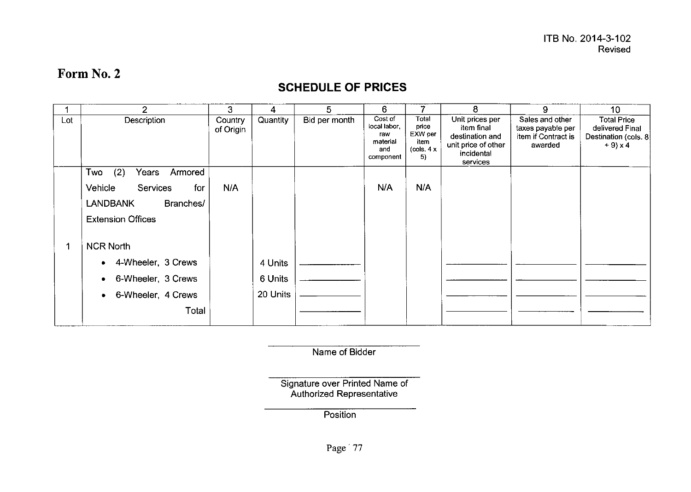### **SCHEDULE OF PRICES**

|     | $\mathfrak{p}$                 | 3                    | 4        | 5             | 6                                                              |                                                        | 8                                                                                                 | 9                                                                      | 10                                                                              |
|-----|--------------------------------|----------------------|----------|---------------|----------------------------------------------------------------|--------------------------------------------------------|---------------------------------------------------------------------------------------------------|------------------------------------------------------------------------|---------------------------------------------------------------------------------|
| Lot | Description                    | Country<br>of Origin | Quantity | Bid per month | Cost of<br>local labor,<br>raw<br>material<br>and<br>component | Total<br>price<br>EXW per<br>item<br>(cols. $4x$<br>5) | Unit prices per<br>item final<br>destination and<br>unit price of other<br>incidental<br>services | Sales and other<br>taxes payable per<br>item if Contract is<br>awarded | <b>Total Price</b><br>delivered Final<br>Destination (cols. 8)<br>$+9 \times 4$ |
|     | (2)<br>Two<br>Years<br>Armored |                      |          |               |                                                                |                                                        |                                                                                                   |                                                                        |                                                                                 |
|     | Vehicle<br>Services<br>for     | N/A                  |          |               | N/A                                                            | N/A                                                    |                                                                                                   |                                                                        |                                                                                 |
|     | <b>LANDBANK</b><br>Branches/   |                      |          |               |                                                                |                                                        |                                                                                                   |                                                                        |                                                                                 |
|     | <b>Extension Offices</b>       |                      |          |               |                                                                |                                                        |                                                                                                   |                                                                        |                                                                                 |
| 1   | <b>NCR North</b>               |                      |          |               |                                                                |                                                        |                                                                                                   |                                                                        |                                                                                 |
|     | 4-Wheeler, 3 Crews<br>۰        |                      | 4 Units  |               |                                                                |                                                        |                                                                                                   |                                                                        |                                                                                 |
|     | 6-Wheeler, 3 Crews<br>٠        |                      | 6 Units  |               |                                                                |                                                        |                                                                                                   |                                                                        |                                                                                 |
|     | 6-Wheeler, 4 Crews             |                      | 20 Units |               |                                                                |                                                        |                                                                                                   |                                                                        |                                                                                 |
|     | Total                          |                      |          |               |                                                                |                                                        |                                                                                                   |                                                                        |                                                                                 |

Name of Bidder

Signature over Printed Name of Authorized Representati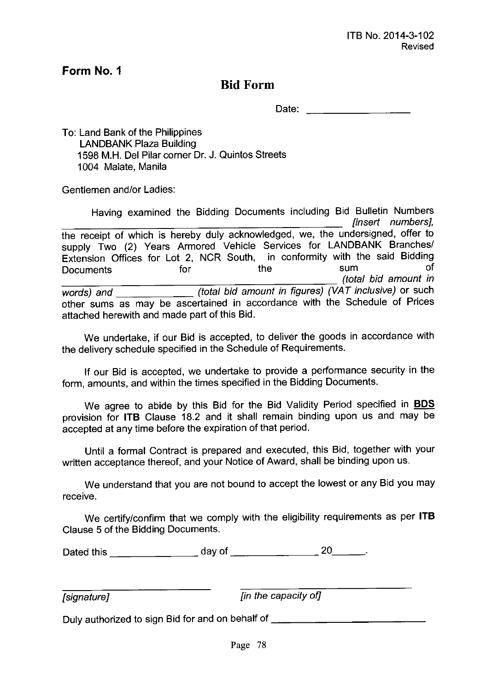### **Bid Form**

Date:

To: Land Bank of the Philippines LANDBANK Plaza Building 1598 M.H. Del Pilar corner Dr. J. Quintos Streets 1004 Malate, Manila

Gentlemen and/or Ladies:

Having examined the Bidding Documents including Bid Bulletin Numbers *[insert numbers},* the receipt of which is hereby duly acknowledged, we, the undersigned, offer to supply Two (2) Years Armored Vehicle Services for LANDBANK Branches/ Extension Offices for Lot 2, NCR South, in conformity with the said Bidding Documents for the sum of *\_\_\_\_\_\_\_\_\_\_\_\_\_\_\_\_\_\_\_\_\_\_ (tota/ bid amount in words) and (total bid amount in figures) (VAT inclusive)* or such other sums as may be ascertained in accordance with the Schedule of Prices attached herewith and made part of this Bid.

We undertake, if our Bid is accepted, to deliver the goods in accordance with the delivery schedule specified in the Schedule of Requirements.

If our Bid is accepted, we undertake to provide a performance security in the form, amounts, and within the times specified in the Bidding Documents.

We agree to abide by this Bid for the Bid Validity Period specified in **BOS** provision for **ITB** Clause 18.2 and it shall remain binding upon us and may be accepted at any time before the expiration of that period.

Until a formal Contract is prepared and executed, this Bid, together with your written acceptance thereof, and your Notice of Award, shall be binding upon us.

We understand that you are not bound to accept the lowest or any Bid you may receive.

We certify/confirm that we comply with the eligibility requirements as per **ITB** Clause 5 of the Bidding Documents.

Dated this  $\frac{1}{20}$  day of  $\frac{1}{20}$  20  $\frac{20}{100}$ .

*[signature} [in the capacity of]*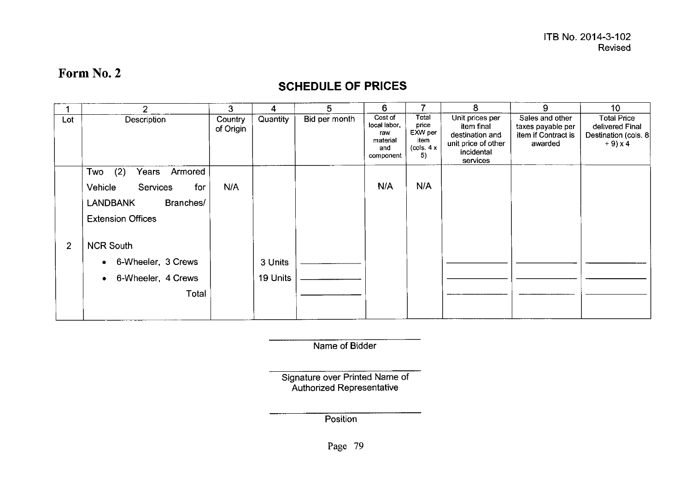### **SCHEDULE OF PRICES**

|                | $\overline{2}$               | 3                    | 4               | 5             | 6.                                                             |                                                        | 8                                                                                                 | 9                                                                      | 10                                                                           |
|----------------|------------------------------|----------------------|-----------------|---------------|----------------------------------------------------------------|--------------------------------------------------------|---------------------------------------------------------------------------------------------------|------------------------------------------------------------------------|------------------------------------------------------------------------------|
| Lot            | Description                  | Country<br>of Origin | <b>Quantity</b> | Bid per month | Cost of<br>local labor,<br>raw<br>material<br>and<br>component | Total<br>price<br>EXW per<br>item<br>(cols. $4x$<br>5) | Unit prices per<br>item final<br>destination and<br>unit price of other<br>incidental<br>services | Sales and other<br>taxes payable per<br>item if Contract is<br>awarded | <b>Total Price</b><br>delivered Final<br>Destination (cols. 8)<br>$+9$ ) x 4 |
|                | (2)<br>Two<br>Years Armored  |                      |                 |               |                                                                |                                                        |                                                                                                   |                                                                        |                                                                              |
|                | Vehicle<br>Services<br>for   | N/A                  |                 |               | N/A                                                            | N/A                                                    |                                                                                                   |                                                                        |                                                                              |
|                | <b>LANDBANK</b><br>Branches/ |                      |                 |               |                                                                |                                                        |                                                                                                   |                                                                        |                                                                              |
|                | <b>Extension Offices</b>     |                      |                 |               |                                                                |                                                        |                                                                                                   |                                                                        |                                                                              |
| $\overline{2}$ | <b>NCR South</b>             |                      |                 |               |                                                                |                                                        |                                                                                                   |                                                                        |                                                                              |
|                | 6-Wheeler, 3 Crews           |                      | 3 Units         |               |                                                                |                                                        |                                                                                                   |                                                                        |                                                                              |
|                | 6-Wheeler, 4 Crews<br>۰      |                      | 19 Units        |               |                                                                |                                                        |                                                                                                   |                                                                        |                                                                              |
|                | Total                        |                      |                 |               |                                                                |                                                        |                                                                                                   |                                                                        |                                                                              |
|                |                              |                      |                 |               |                                                                |                                                        |                                                                                                   |                                                                        |                                                                              |

Name of Bidder

Signature over Printed Name of Authorized Representati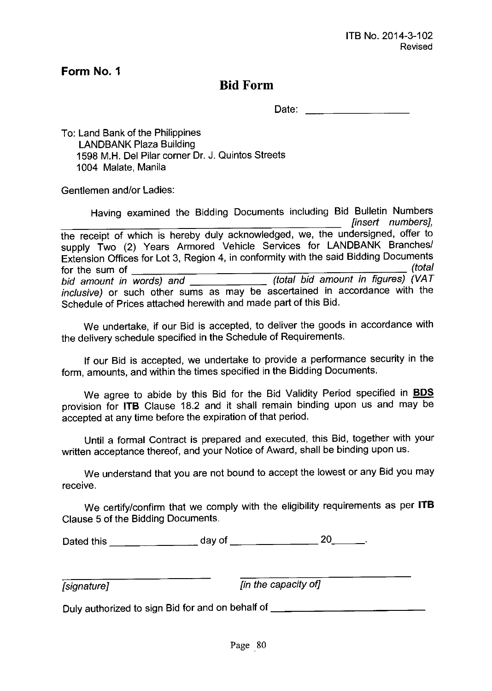### **Bid Form**

Date:

To: Land Bank of the Philippines LANDBANK Plaza Building 1598 M.H. Del Pilar corner Dr. J. Quintos Streets 1004 Malate, Manila

Gentlemen and/or Ladies:

Having examined the Bidding Documents including Bid Bulletin Numbers *[insert numbers},* the receipt of which is hereby duly acknowledged, we, the undersigned, offer to supply Two (2) Years Armored Vehicle Services for LANDBANK Branches/ Extension Offices for Lot 3, Region 4, in conformity with the said Bidding Documents<br>for the sum of (total) for the sum of *(total bid amount in words) and (total bid amount in figures) (VAT inclusive)* or such other sums as may be ascertained in accordance with the Schedule of Prices attached herewith and made part of this Bid.

We undertake, if our Bid is accepted, to deliver the goods in accordance with the *delivery* schedule specified in the Schedule of Requirements.

If our Bid is accepted, we undertake to provide a performance security in the form, amounts, and within the times specified in the Bidding Documents.

We agree to abide by this Bid for the Bid Validity Period specified in **BOS** provision for **ITB** Clause 18.2 and it shall remain binding upon us and may be accepted at any time before the expiration of that period.

Until a formal Contract is prepared and executed, this Bid, together with your written acceptance thereof, and your Notice of Award, shall be binding upon us.

We understand that you are not bound to accept the lowest or any Bid you may *receive.*

We certify/confirm that we comply with the eligibility requirements as per **ITB** Clause 5 of the Bidding Documents.

Dated this day of 20 \_

*[signature} [in the capacity of]*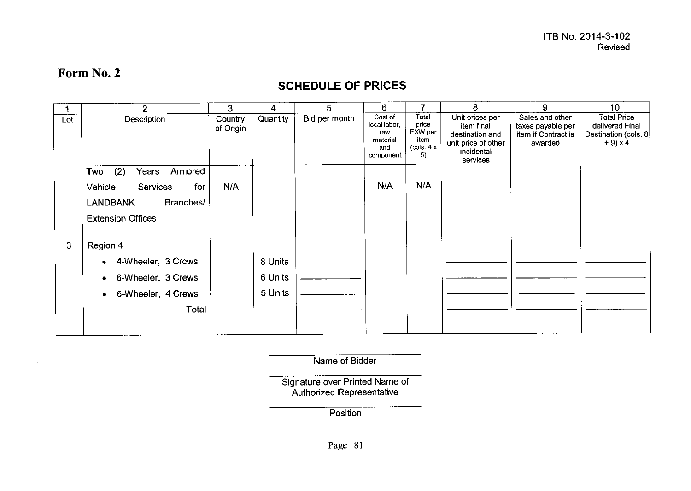$\mathcal{L}$ 

### **SCHEDULE OF PRICES**

|     | $\overline{2}$                 | 3                    | 4        | 5             | 6                                                              |                                                        | 8                                                                                                 | 9                                                                      | 10 <sub>1</sub>                                                             |
|-----|--------------------------------|----------------------|----------|---------------|----------------------------------------------------------------|--------------------------------------------------------|---------------------------------------------------------------------------------------------------|------------------------------------------------------------------------|-----------------------------------------------------------------------------|
| Lot | Description                    | Country<br>of Origin | Quantity | Bid per month | Cost of<br>local labor.<br>raw<br>material<br>and<br>component | Total<br>price<br>EXW per<br>item<br>(cols. $4x$<br>5) | Unit prices per<br>item final<br>destination and<br>unit price of other<br>incidental<br>services | Sales and other<br>taxes payable per<br>item if Contract is<br>awarded | <b>Total Price</b><br>delivered Final<br>Destination (cols. 8<br>$+9$ ) x 4 |
|     | Two<br>(2)<br>Armored<br>Years |                      |          |               |                                                                |                                                        |                                                                                                   |                                                                        |                                                                             |
|     | Vehicle<br>Services<br>for     | N/A                  |          |               | N/A                                                            | N/A                                                    |                                                                                                   |                                                                        |                                                                             |
|     | Branches/<br><b>LANDBANK</b>   |                      |          |               |                                                                |                                                        |                                                                                                   |                                                                        |                                                                             |
|     | <b>Extension Offices</b>       |                      |          |               |                                                                |                                                        |                                                                                                   |                                                                        |                                                                             |
| 3   | Region 4                       |                      |          |               |                                                                |                                                        |                                                                                                   |                                                                        |                                                                             |
|     | 4-Wheeler, 3 Crews             |                      | 8 Units  |               |                                                                |                                                        |                                                                                                   |                                                                        |                                                                             |
|     | 6-Wheeler, 3 Crews             |                      | 6 Units  |               |                                                                |                                                        |                                                                                                   |                                                                        |                                                                             |
|     | 6-Wheeler, 4 Crews             |                      | 5 Units  |               |                                                                |                                                        |                                                                                                   |                                                                        |                                                                             |
|     | Total                          |                      |          |               |                                                                |                                                        |                                                                                                   |                                                                        |                                                                             |
|     |                                |                      |          |               |                                                                |                                                        |                                                                                                   |                                                                        |                                                                             |

Name of Bidder

Signature over Printed Name of Authorized Representati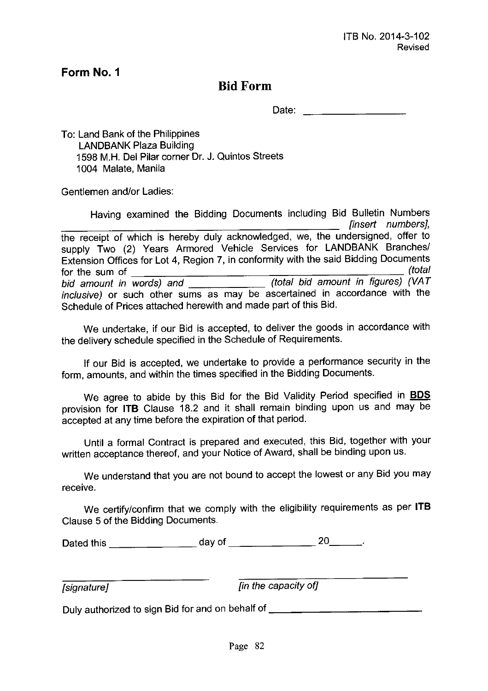### **Bid Form**

Date:

To: Land Bank of the Philippines LANDBANK Plaza Building 1598 M.H. Del Pilar corner Dr. J. Quintos Streets 1004 Malate, Manila

Gentlemen and/or Ladies:

Having examined the Bidding Documents including Bid Bulletin Numbers *[insert numbers},* the receipt of which is hereby duly acknowledged, we, the undersigned, offer to supply Two (2) Years Armored Vehicle Services for LANDBANK Branches/ Extension Offices for Lot 4, Region 7, in conformity with the said Bidding Documents for the sum of *(total) bid amount in words) and (tota/ bid amount in figures) (VAT inclusive)* or such other sums as may be ascertained in accordance with the Schedule of Prices attached herewith and made part of this Bid.

We undertake, if our Bid is accepted, to deliver the goods in accordance with the delivery schedule specified in the Schedule of Requirements.

If our Bid is accepted, we undertake to provide a performance security in the form, amounts, and within the times specified in the Bidding Documents.

We agree to abide by this Bid for the Bid Validity Period specified in **BOS** provision for **ITB** Clause 18.2 and it shall remain binding upon us and may be accepted at any time before the expiration of that period.

Until a formal Contract is prepared and executed, this Bid, together with your written acceptance thereof, and your Notice of Award, shall be binding upon us.

We understand that you are not bound to accept the lowest or any Bid you may receive.

We certify/confirm that we comply with the eligibility requirements as per **ITB** Clause 5 of the Bidding Documents.

| Dated this | day of | 20 |
|------------|--------|----|
|            |        |    |

*[signature} [in the capacity of]*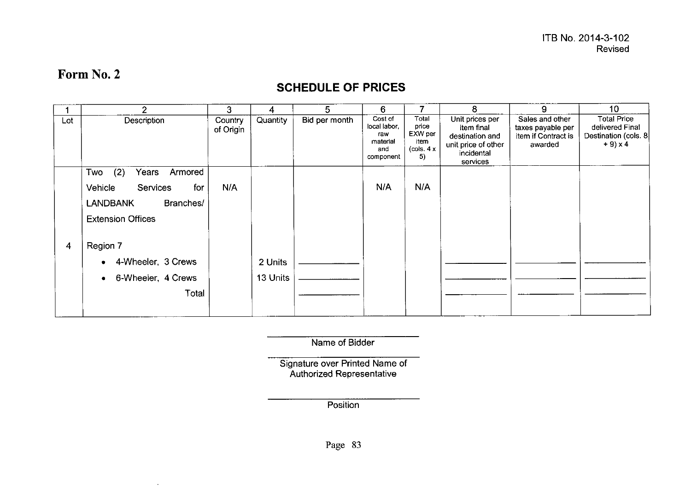$\sim$ 

### **SCHEDULE OF PRICES**

|     | $\mathcal{P}$                     | 3                    | 4        | 5             | 6                                                              | 7                                                       | 8                                                                                                 | 9                                                                      | 10 <sup>°</sup>                                                             |
|-----|-----------------------------------|----------------------|----------|---------------|----------------------------------------------------------------|---------------------------------------------------------|---------------------------------------------------------------------------------------------------|------------------------------------------------------------------------|-----------------------------------------------------------------------------|
| Lot | Description                       | Country<br>of Origin | Quantity | Bid per month | Cost of<br>local labor,<br>raw<br>material<br>and<br>component | Total<br>price<br>EXW per<br>item<br>(cols. $4 x$<br>5) | Unit prices per<br>item final<br>destination and<br>unit price of other<br>incidental<br>services | Sales and other<br>taxes payable per<br>item if Contract is<br>awarded | <b>Total Price</b><br>delivered Final<br>Destination (cols. 8<br>$+9$ ) x 4 |
|     | (2)<br>Armored<br>Years<br>Two    |                      |          |               |                                                                |                                                         |                                                                                                   |                                                                        |                                                                             |
|     | Vehicle<br><b>Services</b><br>for | N/A                  |          |               | N/A                                                            | N/A                                                     |                                                                                                   |                                                                        |                                                                             |
|     | Branches/<br><b>LANDBANK</b>      |                      |          |               |                                                                |                                                         |                                                                                                   |                                                                        |                                                                             |
|     | <b>Extension Offices</b>          |                      |          |               |                                                                |                                                         |                                                                                                   |                                                                        |                                                                             |
| 4   | Region 7                          |                      |          |               |                                                                |                                                         |                                                                                                   |                                                                        |                                                                             |
|     | 4-Wheeler, 3 Crews<br>٠           |                      | 2 Units  |               |                                                                |                                                         |                                                                                                   |                                                                        |                                                                             |
|     | 6-Wheeler, 4 Crews<br>۰           |                      | 13 Units |               |                                                                |                                                         |                                                                                                   |                                                                        |                                                                             |
|     | Total                             |                      |          |               |                                                                |                                                         |                                                                                                   |                                                                        |                                                                             |

Name of Bidder

Signature over Printed Name of Authorized Representat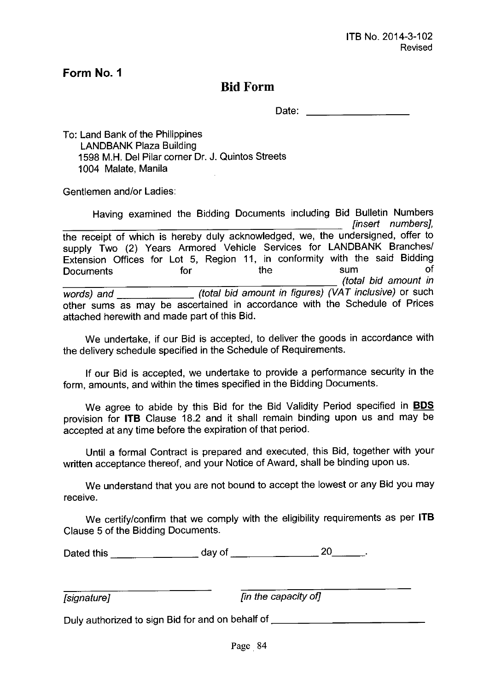### **Bid Form**

Date:

To: Land Bank of the Philippines LANDBANK Plaza Building 1598 M.H. Del Pilar corner Dr. J. Quintos Streets 1004 Malate, Manila

Gentlemen and/or Ladies:

Having examined the Bidding Documents including Bid Bulletin Numbers *[insert numbers},* the receipt of which is hereby duly acknowledged, we, the undersigned, offer to supply Two (2) Years Armored Vehicle Services for LANDBANK Branches/ Extension Offices for Lot 5, Region 11, in conformity with the said Bidding Documents for the sum of *\_\_\_\_\_\_\_\_\_\_\_\_\_\_\_\_\_\_\_\_\_\_ (total bid amount in words) and (total bid amount in figures) (VAT inclusive)* or such other sums as may be ascertained in accordance with the Schedule of Prices attached herewith and made part of this Bid.

We undertake, if our Bid is accepted, to deliver the goods in accordance with the delivery schedule specified in the Schedule of Requirements.

If our Bid is accepted, we undertake to provide a performance security in the form, amounts, and within the times specified in the Bidding Documents.

We agree to abide by this Bid for the Bid Validity Period specified in **BOS** provision for **ITB** Clause 18.2 and it shall remain binding upon us and may be accepted at any time before the expiration of that period.

Until a formal Contract is prepared and executed, this Bid, together with your written acceptance thereof, and your Notice of Award, shall be binding upon us.

We understand that you are not bound to accept the lowest or any Bid you may receive.

We certify/confirm that we comply with the eligibility requirements as per **ITB** Clause 5 of the Bidding Documents.

Dated this  $\frac{1}{20}$  day of  $\frac{1}{20}$  20  $\frac{20}{100}$ .

*[signature} [in the capacity of}*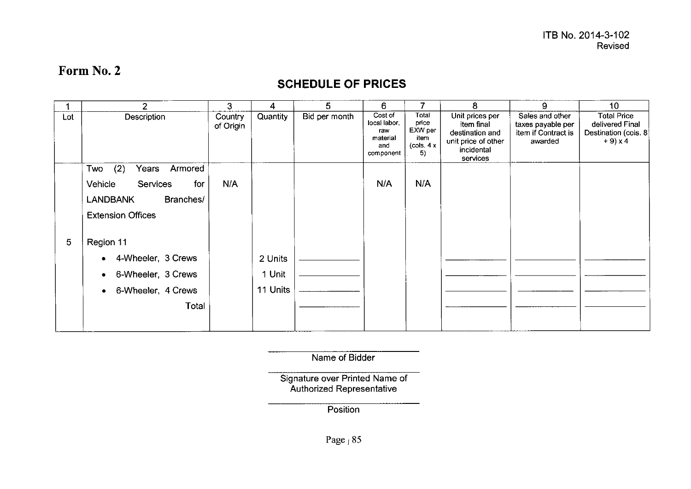### **SCHEDULE OF PRICES**

|     | 2                                 | 3                    | 4        | 5             | 6                                                              |                                                                                 | 8                                                                                                 | 9                                                                      | 10                                                                              |
|-----|-----------------------------------|----------------------|----------|---------------|----------------------------------------------------------------|---------------------------------------------------------------------------------|---------------------------------------------------------------------------------------------------|------------------------------------------------------------------------|---------------------------------------------------------------------------------|
| Lot | Description                       | Country<br>of Origin | Quantity | Bid per month | Cost of<br>local labor,<br>raw<br>material<br>and<br>component | Total<br>price<br>EXW per<br>item<br>$\left(\text{cols} \cdot 4\right)$ x<br>5) | Unit prices per<br>item final<br>destination and<br>unit price of other<br>incidental<br>services | Sales and other<br>taxes payable per<br>item if Contract is<br>awarded | <b>Total Price</b><br>delivered Final<br>Destination (cols. 8)<br>$+9 \times 4$ |
|     | (2)<br>Armored<br>Two<br>Years    |                      |          |               |                                                                |                                                                                 |                                                                                                   |                                                                        |                                                                                 |
|     | Vehicle<br><b>Services</b><br>for | N/A                  |          |               | N/A                                                            | N/A                                                                             |                                                                                                   |                                                                        |                                                                                 |
|     | Branches/<br><b>LANDBANK</b>      |                      |          |               |                                                                |                                                                                 |                                                                                                   |                                                                        |                                                                                 |
|     | <b>Extension Offices</b>          |                      |          |               |                                                                |                                                                                 |                                                                                                   |                                                                        |                                                                                 |
| 5   | Region 11                         |                      |          |               |                                                                |                                                                                 |                                                                                                   |                                                                        |                                                                                 |
|     | 4-Wheeler, 3 Crews                |                      | 2 Units  |               |                                                                |                                                                                 |                                                                                                   |                                                                        |                                                                                 |
|     | 6-Wheeler, 3 Crews                |                      | 1 Unit   |               |                                                                |                                                                                 |                                                                                                   |                                                                        |                                                                                 |
|     | 6-Wheeler, 4 Crews                |                      | 11 Units |               |                                                                |                                                                                 |                                                                                                   |                                                                        |                                                                                 |
|     | Total                             |                      |          |               |                                                                |                                                                                 |                                                                                                   |                                                                        |                                                                                 |
|     |                                   |                      |          |               |                                                                |                                                                                 |                                                                                                   |                                                                        |                                                                                 |

Name of Bidder

Signature over Printed Name of Authorized Representative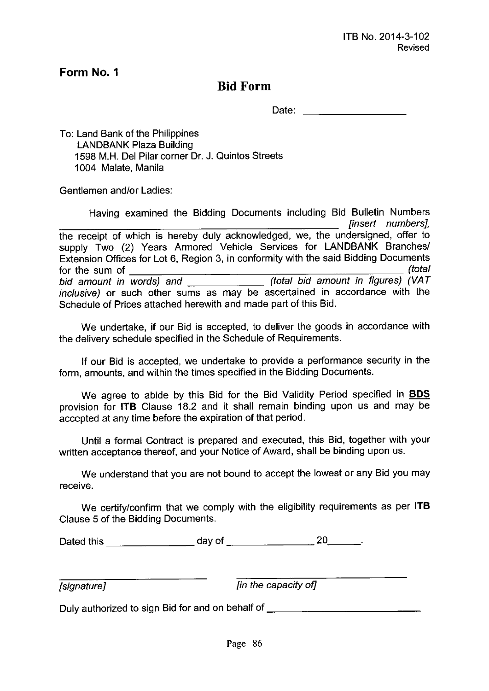### **Bid Form**

Date: <u>with the second control</u>

To: Land Bank of the Philippines LANDBANK Plaza Building 1598 M.H. Del Pilar corner Dr. J. Quintos Streets 1004 Malate, Manila

Gentlemen *andlor* Ladies:

Having examined the Bidding Documents including Bid Bulletin Numbers *[insert numbers},* the receipt of which is hereby duly acknowledged, we, the undersigned, offer to supply Two (2) Years Armored Vehicle Services for LANDBANK Branches/ Extension Offices for Lot 6, Region 3, in conformity with the said Bidding Documents for the sum of *(total bid amount in words) and (total bid amount in figures) (VAT inclusive)* or such other sums as may be ascertained in accordance with the Schedule of Prices attached herewith and made part of this Bid.

We undertake, if our Bid is accepted, to deliver the goods in accordance with the delivery schedule specified in the Schedule of Requirements.

If our Bid is accepted, we undertake to provide a performance security in the form, amounts, and within the times specified in the Bidding Documents.

We agree to abide by this Bid for the Bid Validity Period specified in **BOS** provision for **ITB** Clause 18.2 and it shall remain binding upon us and may be accepted at any time before the expiration of that period.

Until a formal Contract is prepared and executed, this Bid, together with your written acceptance thereof, and your Notice of Award, shall be binding upon us.

We understand that you are not bound to accept the lowest or any Bid you may receive.

We certifylconfirm that we comply with the eligibility requirements as per **ITB** Clause 5 of the Bidding Documents.

| Dated this | day of |  |
|------------|--------|--|
|            |        |  |

*[signature} [in the capacity of]*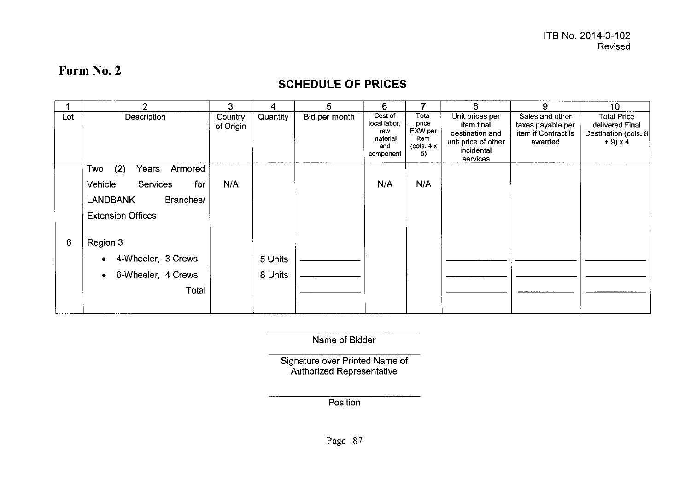### **SCHEDULE OF PRICES**

|     | 2                                 | 3                    | 4        | 5             | 6                                                              |                                                        | 8                                                                                                 | 9                                                                      | 10                                                                             |
|-----|-----------------------------------|----------------------|----------|---------------|----------------------------------------------------------------|--------------------------------------------------------|---------------------------------------------------------------------------------------------------|------------------------------------------------------------------------|--------------------------------------------------------------------------------|
| Lot | Description                       | Country<br>of Origin | Quantity | Bid per month | Cost of<br>local labor,<br>raw<br>material<br>and<br>component | Total<br>price<br>EXW per<br>item<br>(cols. $4x$<br>5) | Unit prices per<br>item final<br>destination and<br>unit price of other<br>incidental<br>services | Sales and other<br>taxes payable per<br>item if Contract is<br>awarded | <b>Total Price</b><br>delivered Final<br>Destination (cols. 8<br>$+9 \times 4$ |
|     | (2)<br>Years<br>Armored<br>Two    |                      |          |               |                                                                |                                                        |                                                                                                   |                                                                        |                                                                                |
|     | Vehicle<br><b>Services</b><br>for | N/A                  |          |               | N/A                                                            | N/A                                                    |                                                                                                   |                                                                        |                                                                                |
|     | <b>LANDBANK</b><br>Branches/      |                      |          |               |                                                                |                                                        |                                                                                                   |                                                                        |                                                                                |
|     | <b>Extension Offices</b>          |                      |          |               |                                                                |                                                        |                                                                                                   |                                                                        |                                                                                |
| 6   | Region 3                          |                      |          |               |                                                                |                                                        |                                                                                                   |                                                                        |                                                                                |
|     | 4-Wheeler, 3 Crews                |                      | 5 Units  |               |                                                                |                                                        |                                                                                                   |                                                                        |                                                                                |
|     | 6-Wheeler, 4 Crews                |                      | 8 Units  |               |                                                                |                                                        |                                                                                                   |                                                                        |                                                                                |
|     | Total                             |                      |          |               |                                                                |                                                        |                                                                                                   |                                                                        |                                                                                |

Name of Bidder

Signature over Printed Name of Authorized Representati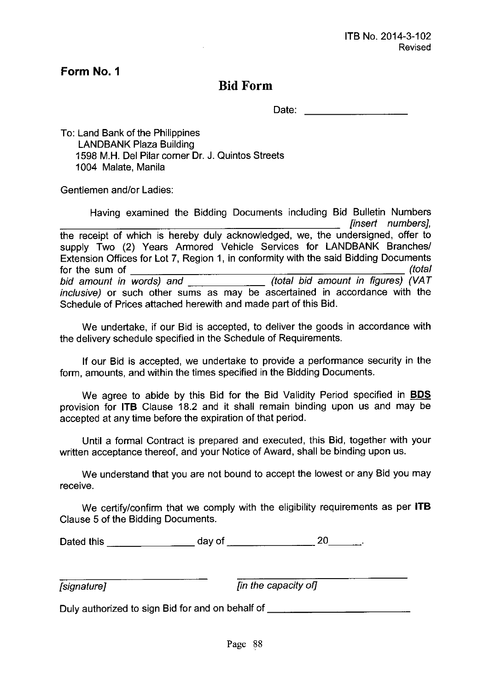### **Bid Form**

Date: 2008. 2009. 2009. 2009. 2009. 2009. 2009. 2009. 2009. 2009. 2009. 2009. 2009. 2009. 2009. 2009. 2009. 20

To: Land Bank of the Philippines LANDBANK Plaza Building 1598 M.H. Del Pilar corner Dr. J. Quintos Streets 1004 Malate, Manila

Gentlemen and/or Ladies:

Having examined the Bidding Documents including Bid Bulletin Numbers *[insert numbers},* the receipt of which is hereby duly acknowledged, we, the undersigned, offer to supply Two (2) Years Armored Vehicle Services for LANDBANK Branches/ Extension Offices for Lot 7, Region 1, in conformity with the said Bidding Documents for the sum of *(total bid amount in words) and (total bid amount in figures) (VAT inclusive)* or such other sums as may be ascertained in accordance with the Schedule of Prices attached herewith and made part of this Bid.

We undertake, if our Bid is accepted, to deliver the goods in accordance with the delivery schedule specified in the Schedule of Requirements.

If our Bid is accepted, we undertake to provide a performance security in the form, amounts, and within the times specified in the Bidding Documents.

We agree to abide by this Bid for the Bid Validity Period specified in **BOS** provision for **ITB** Clause 18.2 and it shall remain binding upon us and may be accepted at any time before the expiration of that period.

Until a formal Contract is prepared and executed, this Bid, together with your written acceptance thereof, and your Notice of Award, shall be binding upon us.

We understand that you are not bound to accept the lowest or any Bid you may receive.

We certifylconfirm that we comply with the eligibility requirements as per **ITB** Clause 5 of the Bidding Documents.

| Dated this | day of |  |
|------------|--------|--|
|            |        |  |

*[signature} [in the capacity of}*

Duly authorized to sign Bid for and on behalf of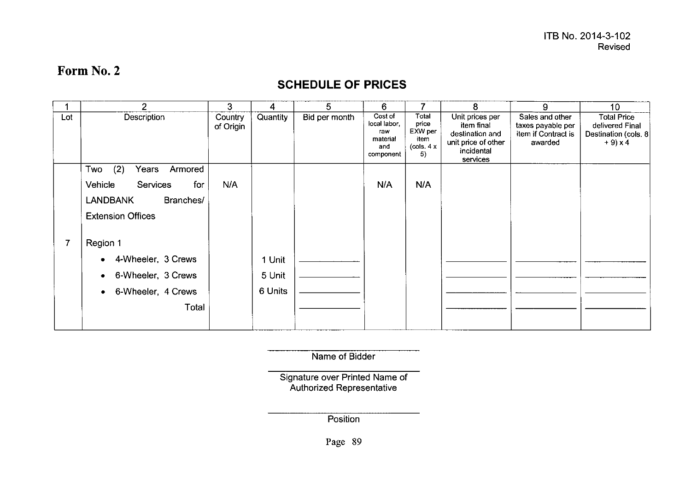### **SCHEDULE OF PRICES**

|     | $\overline{2}$                    | 3                    | 4        | 5             | 6                                                              |                                                                                    | 8                                                                                                 | 9                                                                      | 10 <sub>1</sub>                                                             |
|-----|-----------------------------------|----------------------|----------|---------------|----------------------------------------------------------------|------------------------------------------------------------------------------------|---------------------------------------------------------------------------------------------------|------------------------------------------------------------------------|-----------------------------------------------------------------------------|
| Lot | Description                       | Country<br>of Origin | Quantity | Bid per month | Cost of<br>local labor,<br>raw<br>material<br>and<br>component | Total<br>price<br>EXW per<br>item<br>$\left( \text{cols. } 4 \times \right)$<br>5) | Unit prices per<br>item final<br>destination and<br>unit price of other<br>incidental<br>services | Sales and other<br>taxes payable per<br>item if Contract is<br>awarded | <b>Total Price</b><br>delivered Final<br>Destination (cols. 8<br>$+9$ ) x 4 |
|     | (2)<br>Two<br>Armored<br>Years    |                      |          |               |                                                                |                                                                                    |                                                                                                   |                                                                        |                                                                             |
|     | Vehicle<br><b>Services</b><br>for | N/A                  |          |               | N/A                                                            | N/A                                                                                |                                                                                                   |                                                                        |                                                                             |
|     | <b>LANDBANK</b><br>Branches/      |                      |          |               |                                                                |                                                                                    |                                                                                                   |                                                                        |                                                                             |
|     | <b>Extension Offices</b>          |                      |          |               |                                                                |                                                                                    |                                                                                                   |                                                                        |                                                                             |
|     | Region 1                          |                      |          |               |                                                                |                                                                                    |                                                                                                   |                                                                        |                                                                             |
|     | 4-Wheeler, 3 Crews                |                      | 1 Unit   |               |                                                                |                                                                                    |                                                                                                   |                                                                        |                                                                             |
|     | 6-Wheeler, 3 Crews                |                      | 5 Unit   |               |                                                                |                                                                                    |                                                                                                   |                                                                        |                                                                             |
|     | 6-Wheeler, 4 Crews<br>۰           |                      | 6 Units  |               |                                                                |                                                                                    |                                                                                                   |                                                                        |                                                                             |
|     | Total                             |                      |          |               |                                                                |                                                                                    |                                                                                                   |                                                                        |                                                                             |
|     |                                   |                      |          |               |                                                                |                                                                                    |                                                                                                   |                                                                        |                                                                             |

Name of Bidder

Signature over Printed Name of Authorized Representati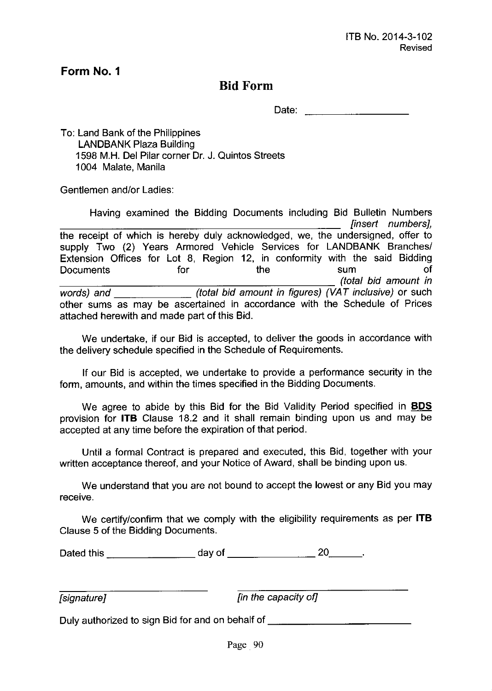### **Bid Form**

Date:

To: Land Bank of the Philippines LANDBANK Plaza Building 1598 M.H. Del Pilar corner Dr. J. Quintos Streets 1004 Malate, Manila

Gentlemen and/or Ladies:

Having examined the Bidding Documents including Bid Bulletin Numbers *[insert numbers},* the receipt of which is hereby duly acknowledged, we, the undersigned, offer to supply Two (2) Years Armored Vehicle Services for LANDBANK Branches/ Extension Offices for Lot 8, Region 12, in conformity with the said Bidding Documents for the sum of *\_\_\_\_\_\_\_\_\_\_\_\_\_\_\_\_\_\_\_\_\_\_\_ (total bid amount in words)* and \_\_\_\_\_\_\_\_\_\_\_\_\_\_\_\_\_\_\_\_\_(total bid amount in figures) (VAT inclusive) or such other sums as may be ascertained in accordance with the Schedule of Prices attached herewith and made part of this Bid.

We undertake, if our Bid is accepted, to deliver the goods in accordance with the delivery schedule specified in the Schedule of Requirements.

If our Bid is accepted, we undertake to provide a performance security in the form, amounts, and within the times specified in the Bidding Documents.

We agree to abide by this Bid for the Bid Validity Period specified in **BDS** provision for **ITB** Clause 18.2 and it shall remain binding upon us and may be accepted at any time before the expiration of that period.

Until a formal Contract is prepared and executed, this Bid, together with your written acceptance thereof, and your Notice of Award, shall be binding upon us.

We understand that you are not bound to accept the lowest or any Bid you may receive.

We certify/confirm that we comply with the eligibility requirements as per **ITB** Clause 5 of the Bidding Documents.

Dated this day of 20 \_

*[signature} [in the capacity of]*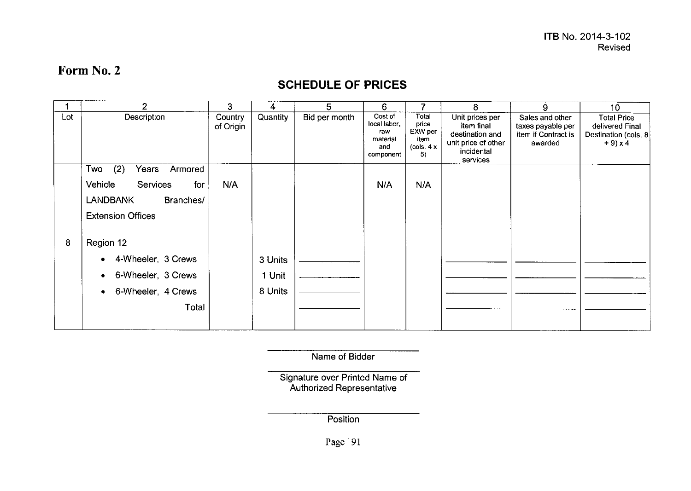### **SCHEDULE OF PRICES**

|     | $\overline{2}$                    | 3                    | 4        | 5             | 6                                                              | 7                                                      | 8                                                                                                 | 9                                                                      | 10                                                                           |
|-----|-----------------------------------|----------------------|----------|---------------|----------------------------------------------------------------|--------------------------------------------------------|---------------------------------------------------------------------------------------------------|------------------------------------------------------------------------|------------------------------------------------------------------------------|
| Lot | Description                       | Country<br>of Origin | Quantity | Bid per month | Cost of<br>local labor,<br>raw<br>material<br>and<br>component | Total<br>price<br>EXW per<br>item<br>(cols. $4x$<br>5) | Unit prices per<br>item final<br>destination and<br>unit price of other<br>incidental<br>services | Sales and other<br>taxes payable per<br>item if Contract is<br>awarded | <b>Total Price</b><br>delivered Final<br>Destination (cols. 8)<br>$+9$ ) x 4 |
|     | (2)<br>Two<br>Armored<br>Years    |                      |          |               |                                                                |                                                        |                                                                                                   |                                                                        |                                                                              |
|     | Vehicle<br><b>Services</b><br>for | N/A                  |          |               | N/A                                                            | N/A                                                    |                                                                                                   |                                                                        |                                                                              |
|     | <b>LANDBANK</b><br>Branches/      |                      |          |               |                                                                |                                                        |                                                                                                   |                                                                        |                                                                              |
|     | <b>Extension Offices</b>          |                      |          |               |                                                                |                                                        |                                                                                                   |                                                                        |                                                                              |
| 8   | Region 12                         |                      |          |               |                                                                |                                                        |                                                                                                   |                                                                        |                                                                              |
|     | 4-Wheeler, 3 Crews                |                      | 3 Units  |               |                                                                |                                                        |                                                                                                   |                                                                        |                                                                              |
|     | 6-Wheeler, 3 Crews                |                      | 1 Unit   |               |                                                                |                                                        |                                                                                                   |                                                                        |                                                                              |
|     | 6-Wheeler, 4 Crews                |                      | 8 Units  |               |                                                                |                                                        |                                                                                                   |                                                                        |                                                                              |
|     | Total                             |                      |          |               |                                                                |                                                        |                                                                                                   |                                                                        |                                                                              |
|     |                                   |                      |          |               |                                                                |                                                        |                                                                                                   |                                                                        |                                                                              |

Name of Bidder

Signature over Printed Name of Authorized Representati

**Position** 

Page<sup>91</sup>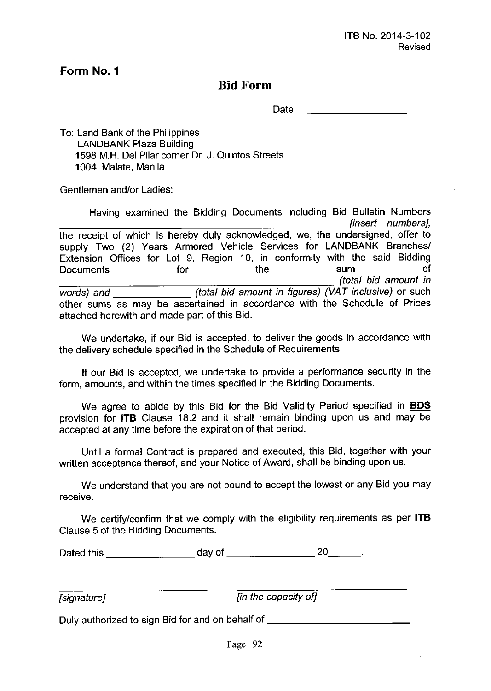### **Bid Form**

Date:  $\qquad \qquad$ 

To: Land Bank of the Philippines LANDBANK Plaza Building 1598 M.H. Del Pilar corner Dr. J. Quintos Streets 1004 Malate, Manila

Gentlemen and/or Ladies:

Having examined the Bidding Documents including Bid Bulletin Numbers *{insert numbers},* the receipt of which is hereby duly acknowledged, we, the undersigned, offer to supply Two (2) Years Armored Vehicle Services for LANDBANK Branches/ Extension Offices for Lot 9, Region 10, in conformity with the said Bidding Documents for the sum of *\_\_\_\_\_\_\_\_\_\_\_\_\_\_\_\_\_\_\_\_\_\_ (total bid amount in words) and (total bid amount in figures) (VAT inclusive)* or such other sums as may be ascertained in accordance with the Schedule of Prices attached herewith and made part of this Bid.

We undertake, if our Bid is accepted, to deliver the goods in accordance with the delivery schedule specified in the Schedule of Requirements.

If our Bid is accepted, we undertake to provide a performance security in the form, amounts, and within the times specified in the Bidding Documents.

We agree to abide by this Bid for the Bid Validity Period specified in **BOS** provision for **ITB** Clause 18.2 and it shall remain binding upon us and may be accepted at any time before the expiration of that period.

Until a formal Contract is prepared and executed, this Bid, together with your written acceptance thereof, and your Notice of Award, shall be binding upon us.

We understand that you are not bound to accept the lowest or any Bid you may receive.

We certify/confirm that we comply with the eligibility requirements as per **ITB** Clause 5 of the Bidding Documents.

Dated this day of 20 \_

*{signature] {in the capacity of]*

Duly authorized to sign Bid for and on behalf of **with the summand of the set of the set of the set of the set of the set of the set of the set of the set of the set of the set of the set of the set of the set of the set o**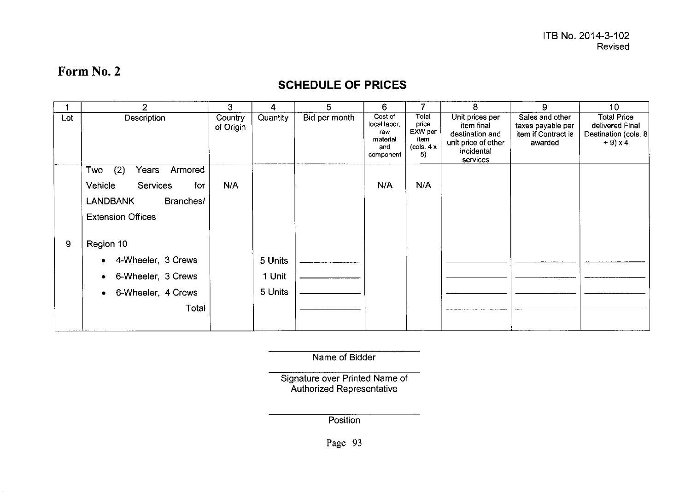### **SCHEDULE OF PRICES**

|     | $\overline{2}$                    | 3                    | 4        | 5             | 6                                                              |                                                                                    | 8                                                                                                 | 9                                                                      | 10 <sup>°</sup>                                                                 |
|-----|-----------------------------------|----------------------|----------|---------------|----------------------------------------------------------------|------------------------------------------------------------------------------------|---------------------------------------------------------------------------------------------------|------------------------------------------------------------------------|---------------------------------------------------------------------------------|
| Lot | Description                       | Country<br>of Origin | Quantity | Bid per month | Cost of<br>local labor,<br>raw<br>material<br>and<br>component | Total<br>price<br>EXW per<br>item<br>$\left( \text{cols. } 4 \times \right)$<br>5) | Unit prices per<br>item final<br>destination and<br>unit price of other<br>incidental<br>services | Sales and other<br>taxes payable per<br>item if Contract is<br>awarded | <b>Total Price</b><br>delivered Final<br>Destination (cols. 8)<br>$+9 \times 4$ |
|     | Two<br>(2)<br>Armored<br>Years    |                      |          |               |                                                                |                                                                                    |                                                                                                   |                                                                        |                                                                                 |
|     | for<br>Vehicle<br><b>Services</b> | N/A                  |          |               | N/A                                                            | N/A                                                                                |                                                                                                   |                                                                        |                                                                                 |
|     | Branches/<br><b>LANDBANK</b>      |                      |          |               |                                                                |                                                                                    |                                                                                                   |                                                                        |                                                                                 |
|     | <b>Extension Offices</b>          |                      |          |               |                                                                |                                                                                    |                                                                                                   |                                                                        |                                                                                 |
| 9   | Region 10                         |                      |          |               |                                                                |                                                                                    |                                                                                                   |                                                                        |                                                                                 |
|     | 4-Wheeler, 3 Crews                |                      | 5 Units  |               |                                                                |                                                                                    |                                                                                                   |                                                                        |                                                                                 |
|     | 6-Wheeler, 3 Crews<br>۰           |                      | 1 Unit   |               |                                                                |                                                                                    |                                                                                                   |                                                                        |                                                                                 |
|     | 6-Wheeler, 4 Crews<br>$\bullet$   |                      | 5 Units  |               |                                                                |                                                                                    |                                                                                                   |                                                                        |                                                                                 |
|     | Total                             |                      |          |               |                                                                |                                                                                    |                                                                                                   |                                                                        |                                                                                 |
|     |                                   |                      |          |               |                                                                |                                                                                    |                                                                                                   |                                                                        |                                                                                 |

Name of Bidder

Signature over Printed Name of Authorized Representati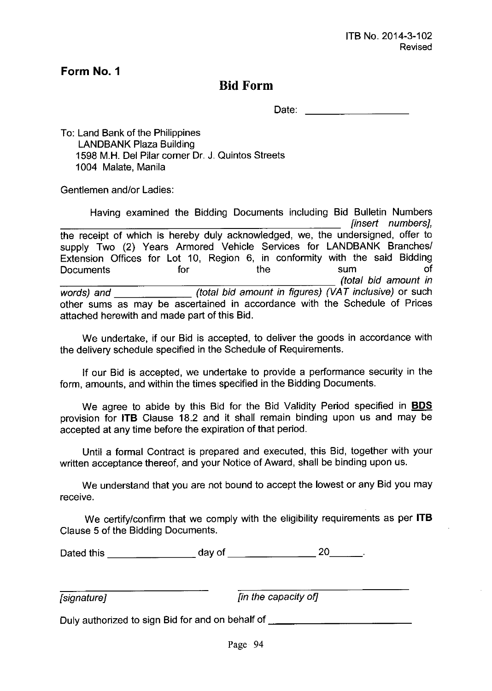### **Bid Form**

Date: **Date: Date: Date: Date:** 

To: Land Bank of the Philippines LANDBANK Plaza Building 1598 M.H. Del Pilar corner Dr. J. Quintos Streets 1004 Malate, Manila

Gentlemen and/or Ladies:

Having examined the Bidding Documents including Bid Bulletin Numbers *[insert numbers},* the receipt of which is hereby duly acknowledged, we, the undersigned, offer to supply Two (2) Years Armored Vehicle Services for LANDBANK Branches/ Extension Offices for Lot 10, Region 6, in conformity with the said Bidding Documents for the sum of *\_\_\_\_\_\_\_\_\_\_\_\_\_\_\_\_\_\_\_\_\_\_\_ (total bid amount in words) and (total bid amount in figures) (VAT inclusive)* or such other sums as may be ascertained in accordance with the Schedule of Prices attached herewith and made part of this Bid.

We undertake, if our Bid is accepted, to deliver the goods in accordance with the delivery schedule specified in the Schedule of Requirements.

If our Bid is accepted, we undertake to provide a performance security in the form, amounts, and within the times specified in the Bidding Documents.

We agree to abide by this Bid for the Bid Validity Period specified in **BOS** provision for **ITB** Clause 18.2 and it shall remain binding upon us and may be accepted at any time before the expiration of that period.

Until a formal Contract is prepared and executed, this Bid, together with your written acceptance thereof, and your Notice of Award, shall be binding upon us.

We understand that you are not bound to accept the lowest or any Bid you may receive.

We certify/confirm that we comply with the eligibility requirements as per **ITB** Clause 5 of the Bidding Documents.

Dated this day of 20 \_

*[signature} [in the capacity of]*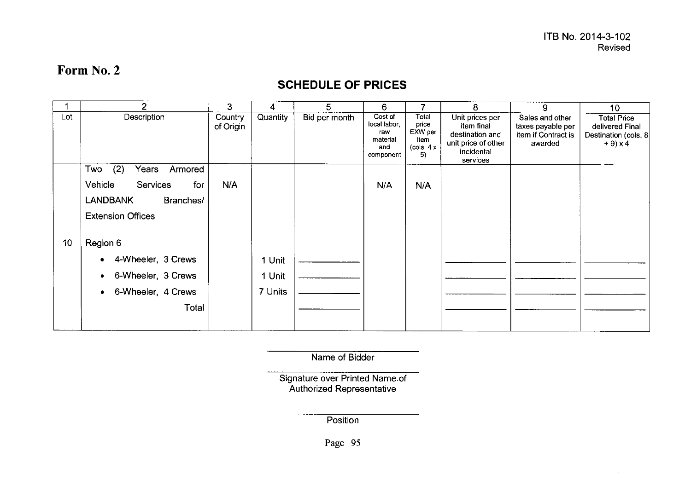### **SCHEDULE OF PRICES**

|     | $\overline{2}$                 | 3                    | 4               | 5             | 6                                                             |                                                        | 8                                                                                                 | 9                                                                      | 10                                                                          |
|-----|--------------------------------|----------------------|-----------------|---------------|---------------------------------------------------------------|--------------------------------------------------------|---------------------------------------------------------------------------------------------------|------------------------------------------------------------------------|-----------------------------------------------------------------------------|
| Lot | Description                    | Country<br>of Origin | <b>Quantity</b> | Bid per month | Cost of<br>local labor<br>raw<br>material<br>and<br>component | Total<br>price<br>EXW per<br>item<br>(cols. $4x$<br>5) | Unit prices per<br>item final<br>destination and<br>unit price of other<br>incidental<br>services | Sales and other<br>taxes payable per<br>item if Contract is<br>awarded | <b>Total Price</b><br>delivered Final<br>Destination (cols. 8<br>$+9$ ) x 4 |
|     | (2)<br>Armored<br>Two<br>Years |                      |                 |               |                                                               |                                                        |                                                                                                   |                                                                        |                                                                             |
|     | Vehicle<br>Services<br>for     | N/A                  |                 |               | N/A                                                           | N/A                                                    |                                                                                                   |                                                                        |                                                                             |
|     | <b>LANDBANK</b><br>Branches/   |                      |                 |               |                                                               |                                                        |                                                                                                   |                                                                        |                                                                             |
|     | <b>Extension Offices</b>       |                      |                 |               |                                                               |                                                        |                                                                                                   |                                                                        |                                                                             |
| 10  | Region 6                       |                      |                 |               |                                                               |                                                        |                                                                                                   |                                                                        |                                                                             |
|     | 4-Wheeler, 3 Crews             |                      | 1 Unit          |               |                                                               |                                                        |                                                                                                   |                                                                        |                                                                             |
|     | 6-Wheeler, 3 Crews             |                      | 1 Unit          |               |                                                               |                                                        |                                                                                                   |                                                                        |                                                                             |
|     | 6-Wheeler, 4 Crews             |                      | 7 Units         |               |                                                               |                                                        |                                                                                                   |                                                                        |                                                                             |
|     | Total                          |                      |                 |               |                                                               |                                                        |                                                                                                   |                                                                        |                                                                             |
|     |                                |                      |                 |               |                                                               |                                                        |                                                                                                   |                                                                        |                                                                             |

Name of Bidder

Signature over Printed Name.o Authorized Representat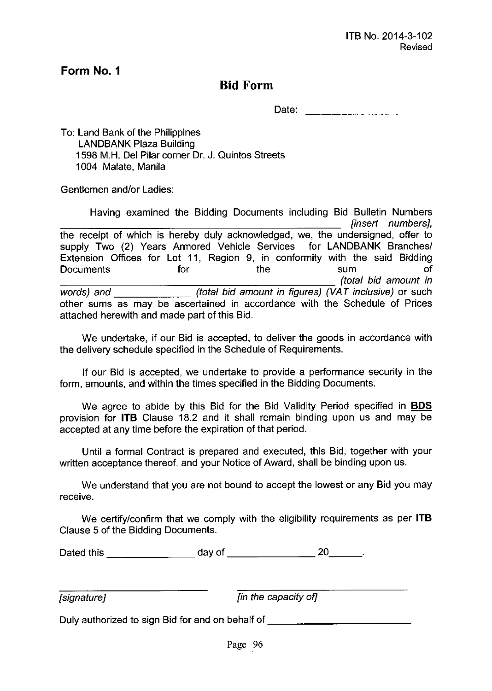### **Bid Form**

Date: **Date: Date: Date: Date: Date: Date: Date: Date: Date: Date: Date: Date: Date: Date: Date: Date: Date: Date: Date: Date: Date: Date: Date: Date: Date: Date: Date:**

To: Land Bank of the Philippines LANDBANK Plaza Building 1598 M.H. Del Pilar corner Dr. J. Quintos Streets 1004 Malate, Manila

Gentlemen and/or Ladies:

Having examined the Bidding Documents including Bid Bulletin Numbers *{insert numbers},* the receipt of which is hereby duly acknowledged, we, the undersigned, offer to supply Two (2) Years Armored Vehicle Services for LANDBANK Branches/ Extension Offices for Lot **11,** Region 9, in conformity with the said Bidding Documents for the sum of *\_\_\_\_\_\_\_\_\_\_\_\_\_\_\_\_\_\_\_\_\_\_ (total bid amount in words) and (total bid amount in figures) (VAT inclusive)* or such other sums as may be ascertained in accordance with the Schedule of Prices attached herewith and made part of this Bid.

We undertake, if our Bid is accepted, to deliver the goods in accordance with the delivery schedule specified in the Schedule of Requirements.

**If** our Bid is accepted, we undertake to provide a performance security in the form, amounts, and within the times specified in the Bidding Documents.

We agree to abide by this Bid for the Bid Validity Period specified in **BOS** provision for **ITS** Clause 18.2 and it shall remain binding upon us and may be accepted at any time before the expiration of that period.

Until a formal Contract is prepared and executed, this Bid, together with your written acceptance thereof, and your Notice of Award, shall be binding upon us.

We understand that you are not bound to accept the lowest or any Bid you may receive.

We certify/confirm that we comply with the eligibility requirements as per **ITS** Clause 5 of the Bidding Documents.

Dated this  $\begin{array}{c} \hline \end{array}$  day of  $\begin{array}{c} 20 \end{array}$ 

*{signature} {in the capacity of]*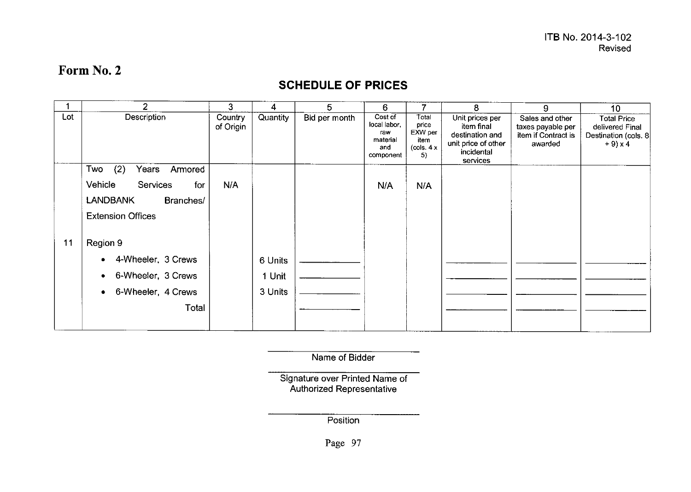### **SCHEDULE OF PRICES**

|     | $\overline{2}$                    | 3                    | 4        | 5             | 6                                                              | 7                                                      | 8                                                                                                 | 9                                                                      | 10                                                                           |
|-----|-----------------------------------|----------------------|----------|---------------|----------------------------------------------------------------|--------------------------------------------------------|---------------------------------------------------------------------------------------------------|------------------------------------------------------------------------|------------------------------------------------------------------------------|
| Lot | Description                       | Country<br>of Origin | Quantity | Bid per month | Cost of<br>local labor,<br>raw<br>material<br>and<br>component | Total<br>price<br>EXW per<br>item<br>(cols. 4 x)<br>5) | Unit prices per<br>item final<br>destination and<br>unit price of other<br>incidental<br>services | Sales and other<br>taxes payable per<br>item if Contract is<br>awarded | <b>Total Price</b><br>delivered Final<br>Destination (cols. 8)<br>$+9$ ) x 4 |
|     | (2)<br>Two<br>Years<br>Armored    |                      |          |               |                                                                |                                                        |                                                                                                   |                                                                        |                                                                              |
|     | Vehicle<br><b>Services</b><br>for | N/A                  |          |               | N/A                                                            | N/A                                                    |                                                                                                   |                                                                        |                                                                              |
|     | <b>LANDBANK</b><br>Branches/      |                      |          |               |                                                                |                                                        |                                                                                                   |                                                                        |                                                                              |
|     | <b>Extension Offices</b>          |                      |          |               |                                                                |                                                        |                                                                                                   |                                                                        |                                                                              |
| 11  | Region 9                          |                      |          |               |                                                                |                                                        |                                                                                                   |                                                                        |                                                                              |
|     | 4-Wheeler, 3 Crews                |                      | 6 Units  |               |                                                                |                                                        |                                                                                                   |                                                                        |                                                                              |
|     | 6-Wheeler, 3 Crews                |                      | 1 Unit   |               |                                                                |                                                        |                                                                                                   |                                                                        |                                                                              |
|     | 6-Wheeler, 4 Crews                |                      | 3 Units  |               |                                                                |                                                        |                                                                                                   |                                                                        |                                                                              |
|     | Total                             |                      |          |               |                                                                |                                                        |                                                                                                   |                                                                        |                                                                              |
|     |                                   |                      |          |               |                                                                |                                                        |                                                                                                   |                                                                        |                                                                              |

Name of Bidder

Signature over Printed Name of Authorized Representat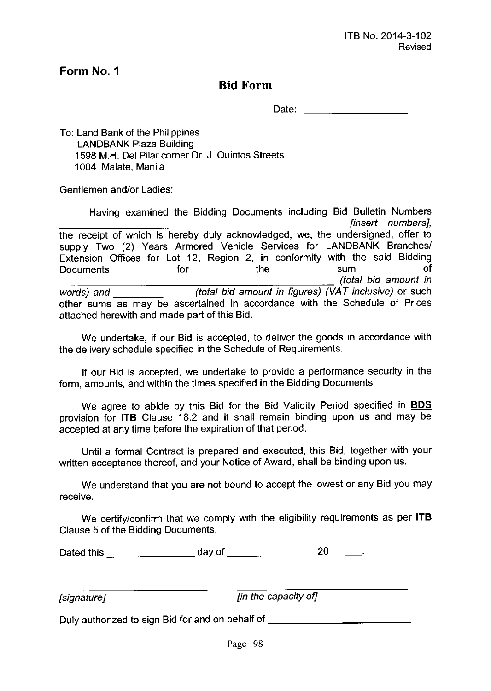### **Bid Form**

Date:

To: Land Bank of the Philippines LANDBANK Plaza Building 1598 M.H. Del Pilar corner Dr. J. Quintos Streets 1004 Malate, Manila

Gentlemen and/or Ladies:

Having examined the Bidding Documents including Bid Bulletin Numbers *[insert numbers},* the receipt of which is hereby duly acknowledged, we, the undersigned, offer to supply Two (2) Years Armored Vehicle Services for LANDBANK Branches/ Extension Offices for Lot 12, Region 2, in conformity with the said Bidding Documents for the sum of *\_\_\_\_\_\_\_\_\_\_\_\_\_\_\_\_\_\_\_\_\_\_ (tota/ bid amount in words) and (tota/ bid amount in figures) (VAT inclusive)* or such other sums as may be ascertained in accordance with the Schedule of Prices attached herewith and made part of this Bid.

We undertake, if our Bid is accepted, to deliver the goods in accordance with the delivery schedule specified in the Schedule of Requirements.

If our Bid is accepted, we undertake to provide a performance security in the form, amounts, and within the times specified in the Bidding Documents.

We agree to abide by this Bid for the Bid Validity Period specified in **BOS** provision for **ITB** Clause 18.2 and it shall remain binding upon us and may be accepted at any time before the expiration of that period.

Until a formal Contract is prepared and executed, this Bid, together with your written acceptance thereof, and your Notice of Award, shall be binding upon us.

We understand that you are not bound to accept the lowest or any Bid you may receive.

We certify/confirm that we comply with the eligibility requirements as per **ITB** Clause 5 of the Bidding Documents.

Dated this day of 20 \_

*[signature} [in the capacity of}*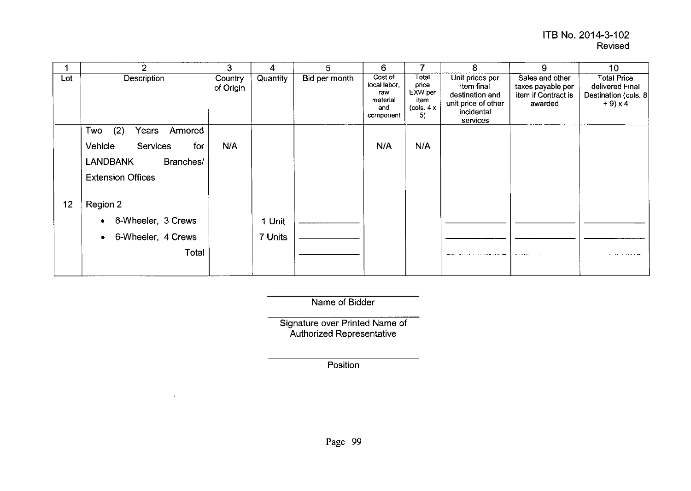#### **ITB** No. 2014-3-102 Revised

|     | $\mathcal{P}$                     | 3                    | 4        | 5             | 6                                                              |                                                        | 8                                                                                                 | 9                                                                      | 10 <sup>°</sup>                                                             |
|-----|-----------------------------------|----------------------|----------|---------------|----------------------------------------------------------------|--------------------------------------------------------|---------------------------------------------------------------------------------------------------|------------------------------------------------------------------------|-----------------------------------------------------------------------------|
| Lot | Description                       | Country<br>of Origin | Quantity | Bid per month | Cost of<br>local labor.<br>raw<br>material<br>and<br>component | Total<br>price<br>EXW per<br>item<br>(cols. $4x$<br>5) | Unit prices per<br>item final<br>destination and<br>unit price of other<br>incidental<br>services | Sales and other<br>taxes payable per<br>item if Contract is<br>awarded | <b>Total Price</b><br>delivered Final<br>Destination (cols. 8<br>$+9$ ) x 4 |
|     | Two<br>(2)<br>Years<br>Armored    |                      |          |               |                                                                |                                                        |                                                                                                   |                                                                        |                                                                             |
|     | Vehicle<br><b>Services</b><br>for | N/A                  |          |               | N/A                                                            | N/A                                                    |                                                                                                   |                                                                        |                                                                             |
|     | <b>LANDBANK</b><br>Branches/      |                      |          |               |                                                                |                                                        |                                                                                                   |                                                                        |                                                                             |
|     | <b>Extension Offices</b>          |                      |          |               |                                                                |                                                        |                                                                                                   |                                                                        |                                                                             |
| 12  | Region 2                          |                      |          |               |                                                                |                                                        |                                                                                                   |                                                                        |                                                                             |
|     | 6-Wheeler, 3 Crews                |                      | 1 Unit   |               |                                                                |                                                        |                                                                                                   |                                                                        |                                                                             |
|     | 6-Wheeler, 4 Crews<br>۰           |                      | 7 Units  |               |                                                                |                                                        |                                                                                                   |                                                                        |                                                                             |
|     | Total                             |                      |          |               |                                                                |                                                        |                                                                                                   |                                                                        |                                                                             |

Name of Bidder

Signature over Printed Name of Authorized Representati

**Position** 

 $\mathcal{L}$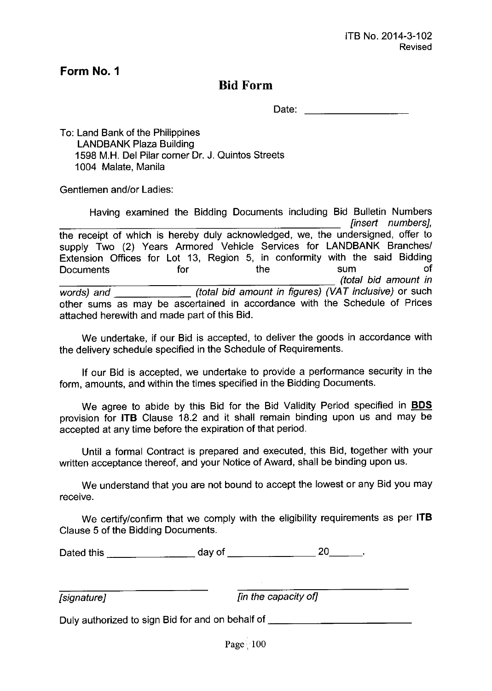### **Bid Form**

Date:

To: Land Bank of the Philippines LANDBANK Plaza Building 1598 M.H. Del Pilar corner Dr. J. Quintos Streets 1004 Malate, Manila

Gentlemen and/or Ladies:

Having examined the Bidding Documents including Bid Bulletin Numbers *[insert numbers},* the receipt of which is hereby duly acknowledged, we, the undersigned, offer to supply Two (2) Years Armored Vehicle Services for LANDBANK Branches/ Extension Offices for Lot 13, Region 5, in conformity with the said Bidding Documents for the sum of *\_\_\_\_\_\_\_\_\_\_\_\_\_\_\_\_\_\_\_\_\_\_ (total bid amount in words) and (total bid amount in figures) (VAT inclusive)* or such other sums as may be ascertained in accordance with the Schedule of Prices attached herewith and made part of this Bid.

We undertake, if our Bid is accepted, to deliver the goods in accordance with the delivery schedule specified in the Schedule of Requirements.

If our Bid is accepted, we undertake to provide a performance security in the form, amounts, and within the times specified in the Bidding Documents.

We agree to abide by this Bid for the Bid Validity Period specified in **BOS** provision for **ITB** Clause 18.2 and it shall remain binding upon us and may be accepted at any time before the expiration of that period.

Until a formal Contract is prepared and executed, this Bid, together with your written acceptance thereof, and your Notice of Award, shall be binding upon us.

We understand that you are not bound to accept the lowest or any Bid you may receive.

We certify/confirm that we comply with the eligibility requirements as per **ITB** Clause 5 of the Bidding Documents.

Dated this  $\frac{1}{20}$  day of  $\frac{1}{20}$  20  $\frac{20}{20}$ .

*[signature} [in the capacity of]*

Duly authorized to sign Bid for and on behalf of \_\_\_\_\_\_\_\_\_\_\_\_\_\_\_\_\_\_\_\_\_\_\_\_\_\_\_\_\_\_\_

Page $\cdot 100$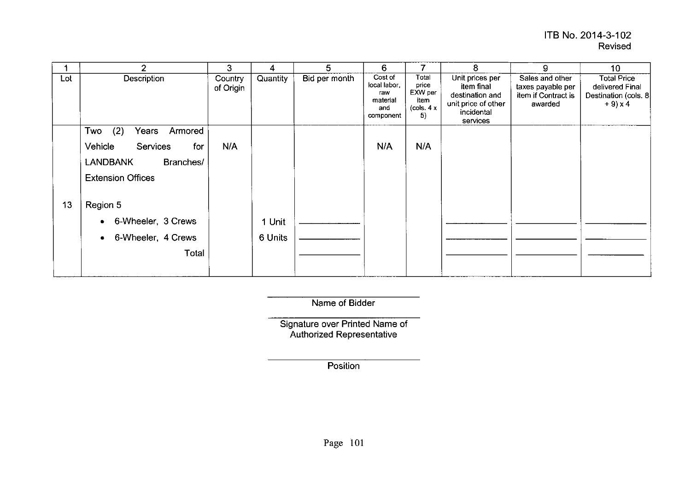#### **ITS** No. 2014-3-102 Revised

|     | 2                              | 3                    | 4        | 5             | 6                                                              |                                                        | 8                                                                                                 | 9                                                                      | 10                                                                           |
|-----|--------------------------------|----------------------|----------|---------------|----------------------------------------------------------------|--------------------------------------------------------|---------------------------------------------------------------------------------------------------|------------------------------------------------------------------------|------------------------------------------------------------------------------|
| Lot | Description                    | Country<br>of Origin | Quantity | Bid per month | Cost of<br>local labor,<br>raw<br>material<br>and<br>component | Total<br>price<br>EXW per<br>item<br>(cols. $4x$<br>5) | Unit prices per<br>item final<br>destination and<br>unit price of other<br>incidental<br>services | Sales and other<br>taxes payable per<br>item if Contract is<br>awarded | <b>Total Price</b><br>delivered Final<br>Destination (cols. 8)<br>$+9$ ) x 4 |
|     | Two<br>(2)<br>Years<br>Armored |                      |          |               |                                                                |                                                        |                                                                                                   |                                                                        |                                                                              |
|     | Vehicle<br>Services<br>for     | N/A                  |          |               | N/A                                                            | N/A                                                    |                                                                                                   |                                                                        |                                                                              |
|     | <b>LANDBANK</b><br>Branches/   |                      |          |               |                                                                |                                                        |                                                                                                   |                                                                        |                                                                              |
|     | <b>Extension Offices</b>       |                      |          |               |                                                                |                                                        |                                                                                                   |                                                                        |                                                                              |
| 13  | Region 5                       |                      |          |               |                                                                |                                                        |                                                                                                   |                                                                        |                                                                              |
|     | 6-Wheeler, 3 Crews<br>٠        |                      | 1 Unit   |               |                                                                |                                                        |                                                                                                   |                                                                        |                                                                              |
|     | 6-Wheeler, 4 Crews<br>٠        |                      | 6 Units  |               |                                                                |                                                        |                                                                                                   |                                                                        |                                                                              |
|     | Total                          |                      |          |               |                                                                |                                                        |                                                                                                   |                                                                        |                                                                              |
|     |                                |                      |          |               |                                                                |                                                        |                                                                                                   |                                                                        |                                                                              |

Name of Bidder

Signature over Printed Name of Authorized Representati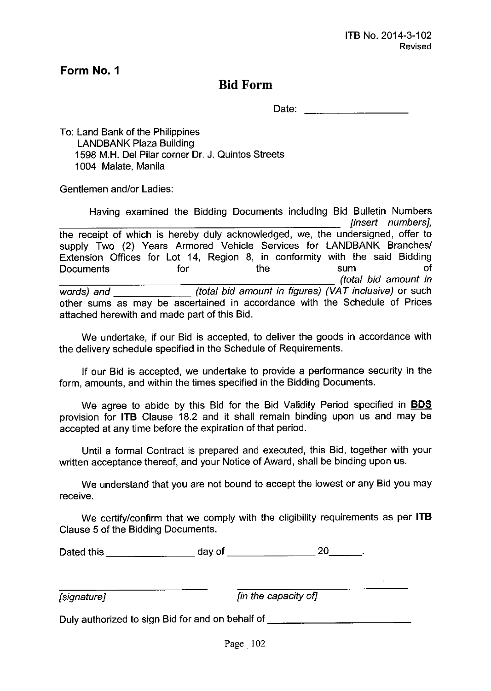### **Bid Form**

Date: **Date: Date: Date: Date: Date:** 

To: Land Bank of the Philippines LANDBANK Plaza Building 1598 M.H. Del Pilar corner Dr. J. Quintos Streets 1004 Malate, Manila

Gentlemen and/or Ladies:

Having examined the Bidding Documents including Bid Bulletin Numbers *[insert numbers},* the receipt of which is hereby duly acknowledged, we, the undersigned, offer to supply Two (2) Years Armored Vehicle Services for LANDBANK Branches/ Extension Offices for Lot 14, Region 8, in conformity with the said Bidding Documents for the sum of *\_\_\_\_\_\_\_\_\_\_\_\_\_\_\_\_\_\_\_\_\_\_\_ (total bid amount in words) and (total bid amount in figures) (VAT inclusive)* or such other sums as may be ascertained in accordance with the Schedule of Prices attached herewith and made part of this Bid.

We undertake, if our Bid is accepted, to deliver the goods in accordance with the delivery schedule specified in the Schedule of Requirements.

If our Bid is accepted, we undertake to provide a performance security in the form, amounts, and within the times specified in the Bidding Documents.

We agree to abide by this Bid for the Bid Validity Period specified in **BOS** provision for **ITB** Clause 18.2 and it shall remain binding upon us and may be accepted at any time before the expiration of that period.

Until a formal Contract is prepared and executed, this Bid, together with your written acceptance thereof, and your Notice of Award, shall be binding upon us.

We understand that you are not bound to accept the lowest or any Bid you may receive.

We certify/confirm that we comply with the eligibility requirements as per **ITB** Clause 5 of the Bidding Documents.

Dated this day of 20 \_

*[signature} [in the capacity of]*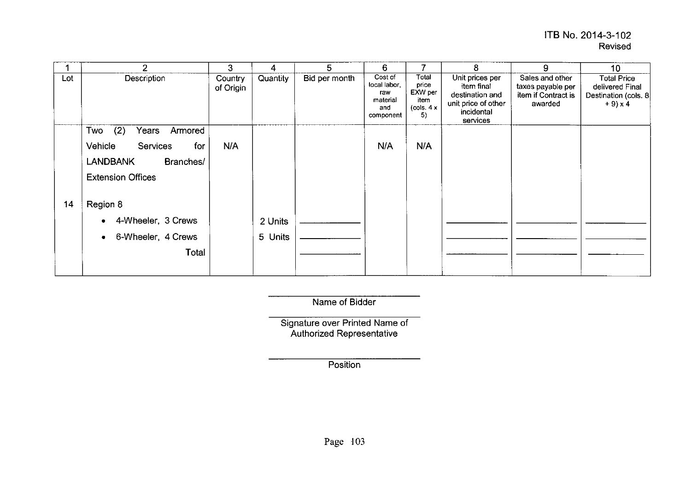|     | 2                               | 3                    | 4        | 5             | 6                                                              | 7                                                                                  | 8                                                                                                 | 9                                                                      | 10                                                                             |
|-----|---------------------------------|----------------------|----------|---------------|----------------------------------------------------------------|------------------------------------------------------------------------------------|---------------------------------------------------------------------------------------------------|------------------------------------------------------------------------|--------------------------------------------------------------------------------|
| Lot | Description                     | Country<br>of Origin | Quantity | Bid per month | Cost of<br>local labor,<br>raw<br>material<br>and<br>component | Total<br>price<br>EXW per<br>item<br>$\left( \text{cols. } 4 \times \right)$<br>5) | Unit prices per<br>item final<br>destination and<br>unit price of other<br>incidental<br>services | Sales and other<br>taxes payable per<br>item if Contract is<br>awarded | <b>Total Price</b><br>delivered Final<br>Destination (cols. 8<br>$+9 \times 4$ |
|     | (2)<br>Two<br>Years<br>Armored  |                      |          |               |                                                                |                                                                                    |                                                                                                   |                                                                        |                                                                                |
|     | Vehicle<br>Services<br>for      | N/A                  |          |               | N/A                                                            | N/A                                                                                |                                                                                                   |                                                                        |                                                                                |
|     | <b>LANDBANK</b><br>Branches/    |                      |          |               |                                                                |                                                                                    |                                                                                                   |                                                                        |                                                                                |
|     | <b>Extension Offices</b>        |                      |          |               |                                                                |                                                                                    |                                                                                                   |                                                                        |                                                                                |
| 14  | Region 8                        |                      |          |               |                                                                |                                                                                    |                                                                                                   |                                                                        |                                                                                |
|     | 4-Wheeler, 3 Crews              |                      | 2 Units  |               |                                                                |                                                                                    |                                                                                                   |                                                                        |                                                                                |
|     | 6-Wheeler, 4 Crews<br>$\bullet$ |                      | 5 Units  |               |                                                                |                                                                                    |                                                                                                   |                                                                        |                                                                                |
|     | Total                           |                      |          |               |                                                                |                                                                                    |                                                                                                   |                                                                        |                                                                                |
|     |                                 |                      |          |               |                                                                |                                                                                    |                                                                                                   |                                                                        |                                                                                |

Name of Bidder

Signature over Printed Name of Authorized Representat